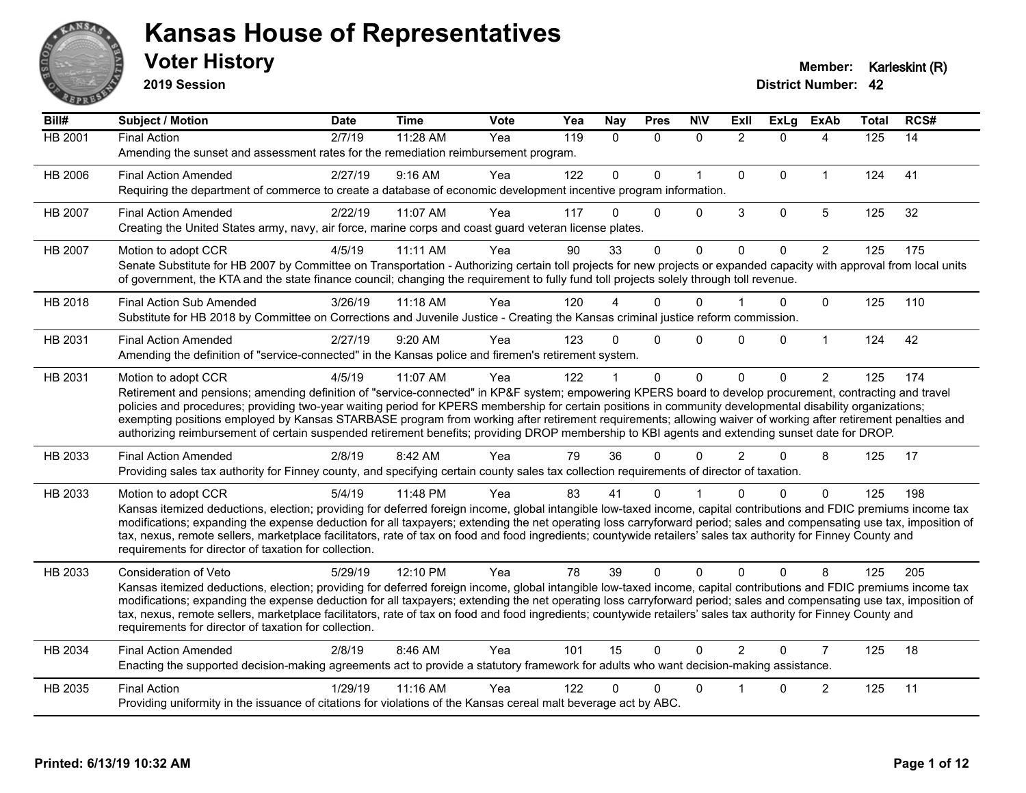

**2019 Session**

| Bill#          | <b>Subject / Motion</b>                                                                                                                                                                                                                                                                                                                                                                                                                                                                                                                                                                                                                                            | <b>Date</b> | <b>Time</b> | Vote | Yea | <b>Nay</b>  | <b>Pres</b>  | <b>N\V</b>   | <b>Exll</b>    | <b>ExLg</b>  | <b>ExAb</b>             | <b>Total</b> | RCS# |
|----------------|--------------------------------------------------------------------------------------------------------------------------------------------------------------------------------------------------------------------------------------------------------------------------------------------------------------------------------------------------------------------------------------------------------------------------------------------------------------------------------------------------------------------------------------------------------------------------------------------------------------------------------------------------------------------|-------------|-------------|------|-----|-------------|--------------|--------------|----------------|--------------|-------------------------|--------------|------|
| <b>HB 2001</b> | <b>Final Action</b><br>Amending the sunset and assessment rates for the remediation reimbursement program.                                                                                                                                                                                                                                                                                                                                                                                                                                                                                                                                                         | 2/7/19      | 11:28 AM    | Yea  | 119 | $\Omega$    | $\mathbf{0}$ | $\mathbf{0}$ | $\overline{2}$ | $\Omega$     | 4                       | 125          | 14   |
| HB 2006        | <b>Final Action Amended</b><br>Requiring the department of commerce to create a database of economic development incentive program information.                                                                                                                                                                                                                                                                                                                                                                                                                                                                                                                    | 2/27/19     | 9:16 AM     | Yea  | 122 | $\mathbf 0$ | $\mathbf 0$  | $\mathbf{1}$ | $\mathbf{0}$   | $\mathbf{0}$ | $\mathbf{1}$            | 124          | 41   |
| HB 2007        | <b>Final Action Amended</b><br>Creating the United States army, navy, air force, marine corps and coast guard veteran license plates.                                                                                                                                                                                                                                                                                                                                                                                                                                                                                                                              | 2/22/19     | 11:07 AM    | Yea  | 117 | $\Omega$    | $\mathbf{0}$ | $\Omega$     | 3              | $\mathbf 0$  | 5                       | 125          | 32   |
| HB 2007        | Motion to adopt CCR<br>Senate Substitute for HB 2007 by Committee on Transportation - Authorizing certain toll projects for new projects or expanded capacity with approval from local units<br>of government, the KTA and the state finance council; changing the requirement to fully fund toll projects solely through toll revenue.                                                                                                                                                                                                                                                                                                                            | 4/5/19      | 11:11 AM    | Yea  | 90  | 33          | $\mathbf{0}$ | $\mathbf 0$  | $\Omega$       | $\mathbf{0}$ | $\overline{2}$          | 125          | 175  |
| HB 2018        | <b>Final Action Sub Amended</b><br>Substitute for HB 2018 by Committee on Corrections and Juvenile Justice - Creating the Kansas criminal justice reform commission.                                                                                                                                                                                                                                                                                                                                                                                                                                                                                               | 3/26/19     | $11:18$ AM  | Yea  | 120 |             | $\Omega$     | $\Omega$     |                | $\mathbf 0$  | $\mathbf{0}$            | 125          | 110  |
| HB 2031        | <b>Final Action Amended</b><br>Amending the definition of "service-connected" in the Kansas police and firemen's retirement system.                                                                                                                                                                                                                                                                                                                                                                                                                                                                                                                                | 2/27/19     | 9:20 AM     | Yea  | 123 | $\Omega$    | $\mathbf{0}$ | $\Omega$     | $\Omega$       | $\Omega$     | $\mathbf{1}$            | 124          | 42   |
| HB 2031        | Motion to adopt CCR<br>Retirement and pensions; amending definition of "service-connected" in KP&F system; empowering KPERS board to develop procurement, contracting and travel<br>policies and procedures; providing two-year waiting period for KPERS membership for certain positions in community developmental disability organizations;<br>exempting positions employed by Kansas STARBASE program from working after retirement requirements; allowing waiver of working after retirement penalties and<br>authorizing reimbursement of certain suspended retirement benefits; providing DROP membership to KBI agents and extending sunset date for DROP. | 4/5/19      | 11:07 AM    | Yea  | 122 |             | $\mathbf{0}$ | $\mathbf 0$  | $\Omega$       | $\Omega$     | $\overline{2}$          | 125          | 174  |
| HB 2033        | <b>Final Action Amended</b><br>Providing sales tax authority for Finney county, and specifying certain county sales tax collection requirements of director of taxation.                                                                                                                                                                                                                                                                                                                                                                                                                                                                                           | 2/8/19      | 8:42 AM     | Yea  | 79  | 36          | $\Omega$     | 0            | $\overline{2}$ | $\Omega$     | 8                       | 125          | 17   |
| HB 2033        | Motion to adopt CCR<br>Kansas itemized deductions, election; providing for deferred foreign income, global intangible low-taxed income, capital contributions and FDIC premiums income tax<br>modifications; expanding the expense deduction for all taxpayers; extending the net operating loss carryforward period; sales and compensating use tax, imposition of<br>tax, nexus, remote sellers, marketplace facilitators, rate of tax on food and food ingredients; countywide retailers' sales tax authority for Finney County and<br>requirements for director of taxation for collection.                                                                    | 5/4/19      | 11:48 PM    | Yea  | 83  | 41          | $\Omega$     |              |                | $\Omega$     | $\mathbf{0}$            | 125          | 198  |
| HB 2033        | <b>Consideration of Veto</b><br>Kansas itemized deductions, election; providing for deferred foreign income, global intangible low-taxed income, capital contributions and FDIC premiums income tax<br>modifications; expanding the expense deduction for all taxpayers; extending the net operating loss carryforward period; sales and compensating use tax, imposition of<br>tax, nexus, remote sellers, marketplace facilitators, rate of tax on food and food ingredients; countywide retailers' sales tax authority for Finney County and<br>requirements for director of taxation for collection.                                                           | 5/29/19     | 12:10 PM    | Yea  | 78  | 39          | $\Omega$     | $\Omega$     | $\Omega$       | $\Omega$     | 8                       | 125          | 205  |
| HB 2034        | <b>Final Action Amended</b><br>Enacting the supported decision-making agreements act to provide a statutory framework for adults who want decision-making assistance.                                                                                                                                                                                                                                                                                                                                                                                                                                                                                              | 2/8/19      | 8:46 AM     | Yea  | 101 | 15          | $\mathbf{0}$ | $\Omega$     | $\overline{2}$ | $\Omega$     | $\overline{7}$          | 125          | 18   |
| HB 2035        | <b>Final Action</b><br>Providing uniformity in the issuance of citations for violations of the Kansas cereal malt beverage act by ABC.                                                                                                                                                                                                                                                                                                                                                                                                                                                                                                                             | 1/29/19     | 11:16 AM    | Yea  | 122 |             | 0            | $\Omega$     |                | $\Omega$     | $\overline{\mathbf{c}}$ | 125          | 11   |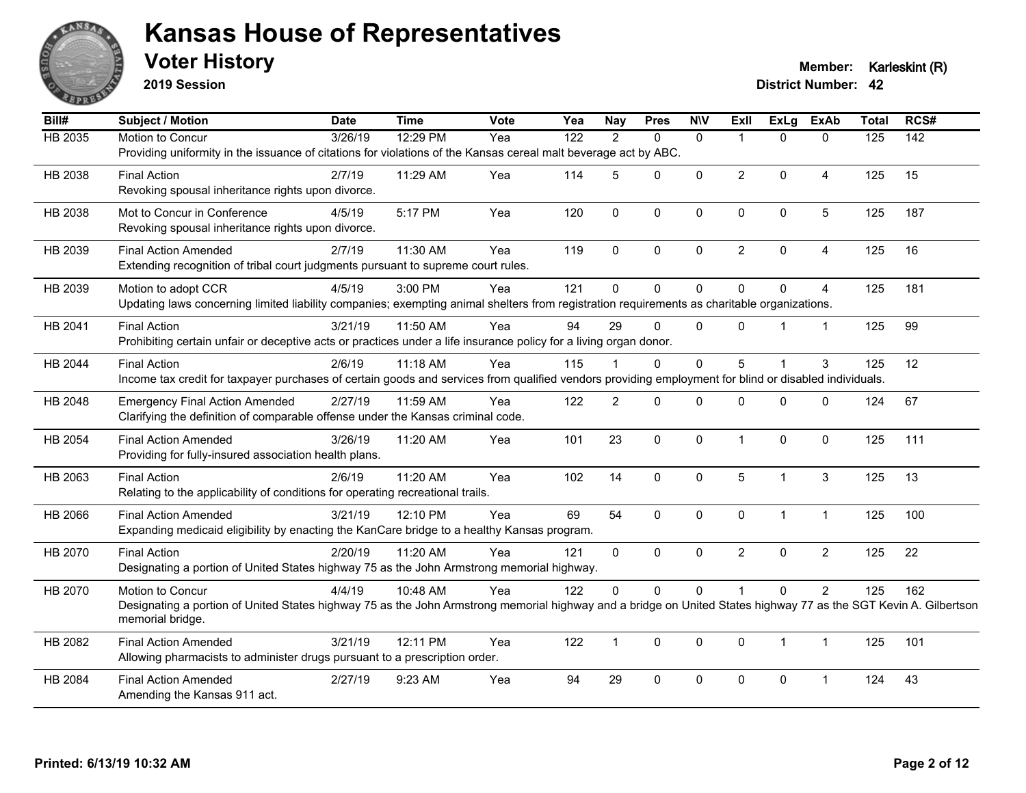

**2019 Session**

**Voter History Member: Karleskint (R)** 

| Bill#          | Subject / Motion                                                                                                                                                 | <b>Date</b> | <b>Time</b> | <b>Vote</b> | Yea | <b>Nay</b>     | <b>Pres</b> | <b>NIV</b>   | <b>Exll</b>    | ExLg         | <b>ExAb</b>    | <b>Total</b> | RCS#             |
|----------------|------------------------------------------------------------------------------------------------------------------------------------------------------------------|-------------|-------------|-------------|-----|----------------|-------------|--------------|----------------|--------------|----------------|--------------|------------------|
| <b>HB 2035</b> | Motion to Concur                                                                                                                                                 | 3/26/19     | 12:29 PM    | Yea         | 122 | 2              | $\Omega$    | $\mathbf{0}$ | 1              | $\Omega$     | $\mathbf{0}$   | 125          | $\overline{142}$ |
|                | Providing uniformity in the issuance of citations for violations of the Kansas cereal malt beverage act by ABC.                                                  |             |             |             |     |                |             |              |                |              |                |              |                  |
| HB 2038        | <b>Final Action</b>                                                                                                                                              | 2/7/19      | 11:29 AM    | Yea         | 114 | 5              | $\Omega$    | $\mathbf{0}$ | $\overline{2}$ | $\mathbf 0$  | $\overline{4}$ | 125          | 15               |
|                | Revoking spousal inheritance rights upon divorce.                                                                                                                |             |             |             |     |                |             |              |                |              |                |              |                  |
| HB 2038        | Mot to Concur in Conference                                                                                                                                      | 4/5/19      | 5:17 PM     | Yea         | 120 | $\mathbf{0}$   | 0           | $\mathbf 0$  | $\mathbf{0}$   | 0            | $\sqrt{5}$     | 125          | 187              |
|                | Revoking spousal inheritance rights upon divorce.                                                                                                                |             |             |             |     |                |             |              |                |              |                |              |                  |
| HB 2039        | <b>Final Action Amended</b>                                                                                                                                      | 2/7/19      | 11:30 AM    | Yea         | 119 | $\mathbf{0}$   | $\Omega$    | $\mathbf{0}$ | $\overline{a}$ | $\mathbf 0$  | $\overline{4}$ | 125          | 16               |
|                | Extending recognition of tribal court judgments pursuant to supreme court rules.                                                                                 |             |             |             |     |                |             |              |                |              |                |              |                  |
|                |                                                                                                                                                                  |             |             |             |     |                |             |              |                |              |                |              |                  |
| HB 2039        | Motion to adopt CCR                                                                                                                                              | 4/5/19      | 3:00 PM     | Yea         | 121 | $\Omega$       | $\mathbf 0$ | $\mathbf 0$  | $\Omega$       | $\Omega$     | $\overline{4}$ | 125          | 181              |
|                | Updating laws concerning limited liability companies; exempting animal shelters from registration requirements as charitable organizations.                      |             |             |             |     |                |             |              |                |              |                |              |                  |
| HB 2041        | <b>Final Action</b>                                                                                                                                              | 3/21/19     | 11:50 AM    | Yea         | 94  | 29             | $\Omega$    | $\mathbf{0}$ | $\Omega$       |              | $\mathbf 1$    | 125          | 99               |
|                | Prohibiting certain unfair or deceptive acts or practices under a life insurance policy for a living organ donor.                                                |             |             |             |     |                |             |              |                |              |                |              |                  |
| HB 2044        | <b>Final Action</b>                                                                                                                                              | 2/6/19      | 11:18 AM    | Yea         | 115 |                | 0           | $\mathbf 0$  | 5              |              | 3              | 125          | 12               |
|                | Income tax credit for taxpayer purchases of certain goods and services from qualified vendors providing employment for blind or disabled individuals.            |             |             |             |     |                |             |              |                |              |                |              |                  |
| HB 2048        | <b>Emergency Final Action Amended</b>                                                                                                                            | 2/27/19     | 11:59 AM    | Yea         | 122 | $\overline{2}$ | $\Omega$    | $\mathbf{0}$ | $\Omega$       | $\Omega$     | $\mathbf{0}$   | 124          | 67               |
|                | Clarifying the definition of comparable offense under the Kansas criminal code.                                                                                  |             |             |             |     |                |             |              |                |              |                |              |                  |
| HB 2054        | <b>Final Action Amended</b>                                                                                                                                      | 3/26/19     | 11:20 AM    | Yea         | 101 | 23             | 0           | $\mathbf 0$  | $\mathbf{1}$   | $\mathbf{0}$ | $\mathbf 0$    | 125          | 111              |
|                | Providing for fully-insured association health plans.                                                                                                            |             |             |             |     |                |             |              |                |              |                |              |                  |
|                |                                                                                                                                                                  |             |             |             |     |                |             |              |                |              |                |              |                  |
| HB 2063        | <b>Final Action</b><br>Relating to the applicability of conditions for operating recreational trails.                                                            | 2/6/19      | 11:20 AM    | Yea         | 102 | 14             | 0           | 0            | 5              | $\mathbf 1$  | $\sqrt{3}$     | 125          | 13               |
|                |                                                                                                                                                                  |             |             |             |     |                |             |              |                |              |                |              |                  |
| HB 2066        | <b>Final Action Amended</b>                                                                                                                                      | 3/21/19     | 12:10 PM    | Yea         | 69  | 54             | $\Omega$    | $\mathbf{0}$ | $\mathbf{0}$   | 1            | $\mathbf{1}$   | 125          | 100              |
|                | Expanding medicaid eligibility by enacting the KanCare bridge to a healthy Kansas program.                                                                       |             |             |             |     |                |             |              |                |              |                |              |                  |
| HB 2070        | <b>Final Action</b>                                                                                                                                              | 2/20/19     | 11:20 AM    | Yea         | 121 | $\mathbf{0}$   | $\mathbf 0$ | $\mathbf{0}$ | $\overline{2}$ | $\Omega$     | $\overline{c}$ | 125          | 22               |
|                | Designating a portion of United States highway 75 as the John Armstrong memorial highway.                                                                        |             |             |             |     |                |             |              |                |              |                |              |                  |
| HB 2070        | Motion to Concur                                                                                                                                                 | 4/4/19      | 10:48 AM    | Yea         | 122 | 0              | 0           | $\pmb{0}$    |                | 0            | $\overline{c}$ | 125          | 162              |
|                | Designating a portion of United States highway 75 as the John Armstrong memorial highway and a bridge on United States highway 77 as the SGT Kevin A. Gilbertson |             |             |             |     |                |             |              |                |              |                |              |                  |
|                | memorial bridge.                                                                                                                                                 |             |             |             |     |                |             |              |                |              |                |              |                  |
| HB 2082        | <b>Final Action Amended</b>                                                                                                                                      | 3/21/19     | 12:11 PM    | Yea         | 122 | $\mathbf{1}$   | 0           | $\mathbf 0$  | $\mathbf 0$    | $\mathbf{1}$ | $\mathbf{1}$   | 125          | 101              |
|                | Allowing pharmacists to administer drugs pursuant to a prescription order.                                                                                       |             |             |             |     |                |             |              |                |              |                |              |                  |
| HB 2084        | <b>Final Action Amended</b>                                                                                                                                      | 2/27/19     | 9:23 AM     | Yea         | 94  | 29             | $\Omega$    | $\mathbf{0}$ | $\Omega$       | $\Omega$     | 1              | 124          | 43               |
|                | Amending the Kansas 911 act.                                                                                                                                     |             |             |             |     |                |             |              |                |              |                |              |                  |
|                |                                                                                                                                                                  |             |             |             |     |                |             |              |                |              |                |              |                  |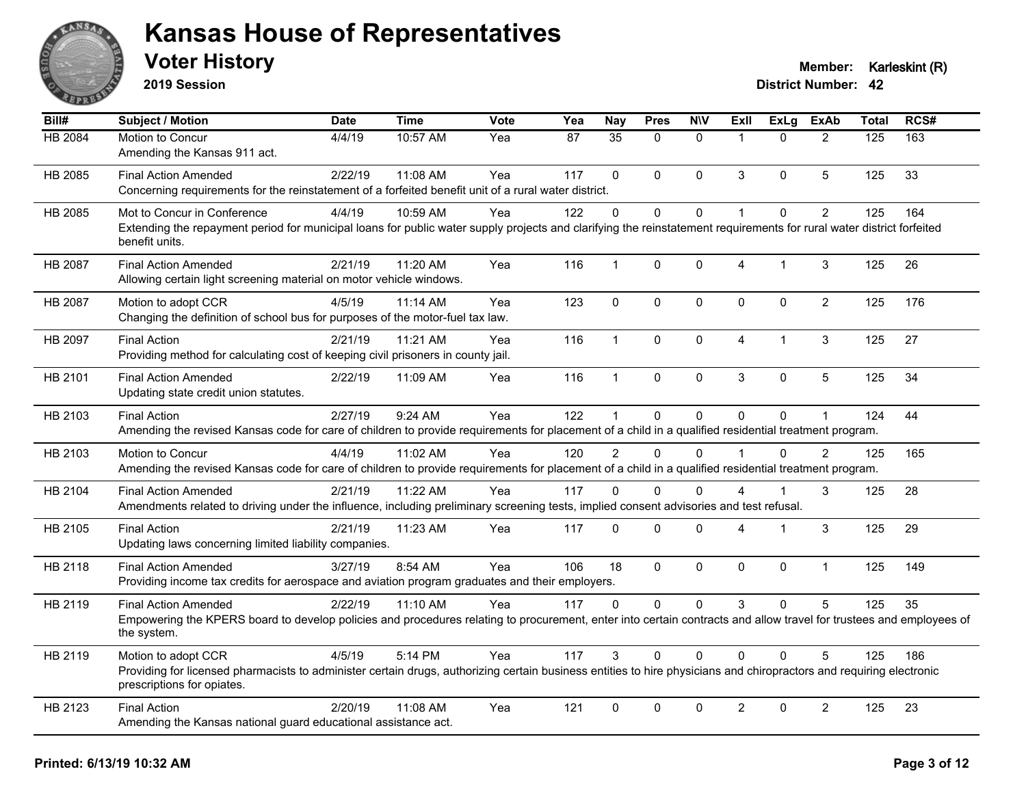

**2019 Session**

| Bill#          | Subject / Motion                                                                                                                                                                                  | <b>Date</b> | <b>Time</b> | Vote | Yea | <b>Nay</b>      | <b>Pres</b>  | <b>N\V</b>   | <b>Exll</b>    | ExLg         | <b>ExAb</b>    | <b>Total</b>     | RCS# |
|----------------|---------------------------------------------------------------------------------------------------------------------------------------------------------------------------------------------------|-------------|-------------|------|-----|-----------------|--------------|--------------|----------------|--------------|----------------|------------------|------|
| <b>HB 2084</b> | Motion to Concur                                                                                                                                                                                  | 4/4/19      | 10:57 AM    | Yea  | 87  | $\overline{35}$ | $\Omega$     | $\mathbf{0}$ | 1              | $\Omega$     | 2              | $\overline{125}$ | 163  |
|                | Amending the Kansas 911 act.                                                                                                                                                                      |             |             |      |     |                 |              |              |                |              |                |                  |      |
| HB 2085        | <b>Final Action Amended</b>                                                                                                                                                                       | 2/22/19     | 11:08 AM    | Yea  | 117 | $\Omega$        | $\mathbf{0}$ | $\mathbf{0}$ | 3              | $\Omega$     | 5              | 125              | 33   |
|                | Concerning requirements for the reinstatement of a forfeited benefit unit of a rural water district.                                                                                              |             |             |      |     |                 |              |              |                |              |                |                  |      |
| HB 2085        | Mot to Concur in Conference                                                                                                                                                                       | 4/4/19      | 10:59 AM    | Yea  | 122 | $\mathbf 0$     | $\mathbf 0$  | $\mathbf 0$  | $\mathbf{1}$   | $\mathbf{0}$ | $\overline{2}$ | 125              | 164  |
|                | Extending the repayment period for municipal loans for public water supply projects and clarifying the reinstatement requirements for rural water district forfeited<br>benefit units.            |             |             |      |     |                 |              |              |                |              |                |                  |      |
| HB 2087        | <b>Final Action Amended</b>                                                                                                                                                                       | 2/21/19     | 11:20 AM    | Yea  | 116 | $\mathbf{1}$    | $\mathbf 0$  | $\mathbf 0$  | 4              | $\mathbf 1$  | $\mathfrak{S}$ | 125              | 26   |
|                | Allowing certain light screening material on motor vehicle windows.                                                                                                                               |             |             |      |     |                 |              |              |                |              |                |                  |      |
| HB 2087        | Motion to adopt CCR                                                                                                                                                                               | 4/5/19      | 11:14 AM    | Yea  | 123 | $\mathbf 0$     | $\mathbf 0$  | $\mathbf 0$  | $\mathbf{0}$   | $\mathbf 0$  | $\overline{2}$ | 125              | 176  |
|                | Changing the definition of school bus for purposes of the motor-fuel tax law.                                                                                                                     |             |             |      |     |                 |              |              |                |              |                |                  |      |
| HB 2097        | <b>Final Action</b>                                                                                                                                                                               | 2/21/19     | 11:21 AM    | Yea  | 116 | $\mathbf{1}$    | $\mathbf 0$  | $\mathbf 0$  | $\overline{4}$ | $\mathbf{1}$ | 3              | 125              | 27   |
|                | Providing method for calculating cost of keeping civil prisoners in county jail.                                                                                                                  |             |             |      |     |                 |              |              |                |              |                |                  |      |
| HB 2101        | <b>Final Action Amended</b>                                                                                                                                                                       | 2/22/19     | 11:09 AM    | Yea  | 116 | $\mathbf{1}$    | $\mathbf 0$  | $\pmb{0}$    | 3              | 0            | 5              | 125              | 34   |
|                | Updating state credit union statutes.                                                                                                                                                             |             |             |      |     |                 |              |              |                |              |                |                  |      |
| HB 2103        | <b>Final Action</b>                                                                                                                                                                               | 2/27/19     | 9:24 AM     | Yea  | 122 | $\mathbf{1}$    | $\mathbf 0$  | $\mathbf 0$  | $\Omega$       | 0            | $\mathbf{1}$   | 124              | 44   |
|                | Amending the revised Kansas code for care of children to provide requirements for placement of a child in a qualified residential treatment program.                                              |             |             |      |     |                 |              |              |                |              |                |                  |      |
| HB 2103        | Motion to Concur                                                                                                                                                                                  | 4/4/19      | 11:02 AM    | Yea  | 120 | $\mathcal{P}$   | $\Omega$     | $\Omega$     |                | $\Omega$     | $\mathfrak{p}$ | 125              | 165  |
|                | Amending the revised Kansas code for care of children to provide requirements for placement of a child in a qualified residential treatment program.                                              |             |             |      |     |                 |              |              |                |              |                |                  |      |
| HB 2104        | <b>Final Action Amended</b>                                                                                                                                                                       | 2/21/19     | 11:22 AM    | Yea  | 117 | 0               | $\Omega$     | $\Omega$     | 4              | 1            | 3              | 125              | 28   |
|                | Amendments related to driving under the influence, including preliminary screening tests, implied consent advisories and test refusal.                                                            |             |             |      |     |                 |              |              |                |              |                |                  |      |
| HB 2105        | <b>Final Action</b>                                                                                                                                                                               | 2/21/19     | 11:23 AM    | Yea  | 117 | $\Omega$        | $\mathbf{0}$ | $\mathbf 0$  | 4              | 1            | $\mathfrak{S}$ | 125              | 29   |
|                | Updating laws concerning limited liability companies.                                                                                                                                             |             |             |      |     |                 |              |              |                |              |                |                  |      |
| HB 2118        | <b>Final Action Amended</b>                                                                                                                                                                       | 3/27/19     | 8:54 AM     | Yea  | 106 | 18              | $\mathbf 0$  | $\mathbf 0$  | 0              | $\mathbf 0$  | $\mathbf{1}$   | 125              | 149  |
|                | Providing income tax credits for aerospace and aviation program graduates and their employers.                                                                                                    |             |             |      |     |                 |              |              |                |              |                |                  |      |
| HB 2119        | <b>Final Action Amended</b>                                                                                                                                                                       | 2/22/19     | 11:10 AM    | Yea  | 117 | $\Omega$        | $\mathbf{0}$ | $\mathbf{0}$ | 3              | $\Omega$     | 5              | 125              | 35   |
|                | Empowering the KPERS board to develop policies and procedures relating to procurement, enter into certain contracts and allow travel for trustees and employees of<br>the system.                 |             |             |      |     |                 |              |              |                |              |                |                  |      |
| HB 2119        | Motion to adopt CCR                                                                                                                                                                               | 4/5/19      | 5:14 PM     | Yea  | 117 | 3               | $\Omega$     | $\Omega$     | $\Omega$       | $\Omega$     | 5              | 125              | 186  |
|                | Providing for licensed pharmacists to administer certain drugs, authorizing certain business entities to hire physicians and chiropractors and requiring electronic<br>prescriptions for opiates. |             |             |      |     |                 |              |              |                |              |                |                  |      |
| HB 2123        | <b>Final Action</b>                                                                                                                                                                               | 2/20/19     | 11:08 AM    | Yea  | 121 | 0               | 0            | $\mathbf 0$  | $\overline{2}$ | 0            | $\overline{c}$ | 125              | 23   |
|                | Amending the Kansas national guard educational assistance act.                                                                                                                                    |             |             |      |     |                 |              |              |                |              |                |                  |      |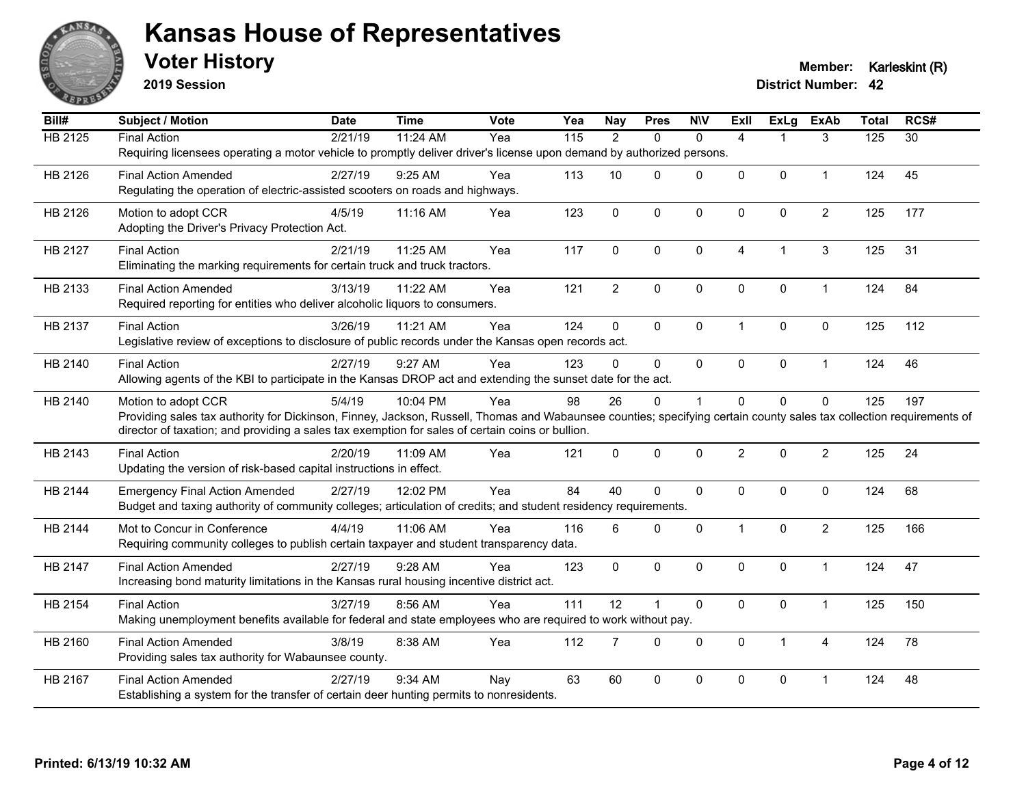

**2019 Session**

| Bill#          | Subject / Motion                                                                                                                                                     | <b>Date</b> | <b>Time</b> | <b>Vote</b> | Yea | <b>Nay</b>     | <b>Pres</b>  | <b>NIV</b>  | ExII           | ExLg           | <b>ExAb</b>    | <b>Total</b> | RCS# |
|----------------|----------------------------------------------------------------------------------------------------------------------------------------------------------------------|-------------|-------------|-------------|-----|----------------|--------------|-------------|----------------|----------------|----------------|--------------|------|
| <b>HB 2125</b> | <b>Final Action</b>                                                                                                                                                  | 2/21/19     | 11:24 AM    | Yea         | 115 | $\overline{2}$ | $\Omega$     | $\Omega$    | $\overline{4}$ |                | 3              | 125          | 30   |
|                | Requiring licensees operating a motor vehicle to promptly deliver driver's license upon demand by authorized persons.                                                |             |             |             |     |                |              |             |                |                |                |              |      |
| HB 2126        | <b>Final Action Amended</b>                                                                                                                                          | 2/27/19     | $9:25$ AM   | Yea         | 113 | 10             | $\Omega$     | $\Omega$    | $\mathbf{0}$   | $\mathbf{0}$   | $\mathbf 1$    | 124          | 45   |
|                | Regulating the operation of electric-assisted scooters on roads and highways.                                                                                        |             |             |             |     |                |              |             |                |                |                |              |      |
| HB 2126        | Motion to adopt CCR                                                                                                                                                  | 4/5/19      | 11:16 AM    | Yea         | 123 | $\mathbf 0$    | $\mathbf 0$  | $\mathbf 0$ | $\mathbf 0$    | $\pmb{0}$      | $\overline{2}$ | 125          | 177  |
|                | Adopting the Driver's Privacy Protection Act.                                                                                                                        |             |             |             |     |                |              |             |                |                |                |              |      |
| HB 2127        | <b>Final Action</b>                                                                                                                                                  | 2/21/19     | 11:25 AM    | Yea         | 117 | 0              | $\Omega$     | $\Omega$    | $\overline{4}$ | $\mathbf{1}$   | 3              | 125          | 31   |
|                | Eliminating the marking requirements for certain truck and truck tractors.                                                                                           |             |             |             |     |                |              |             |                |                |                |              |      |
| HB 2133        | <b>Final Action Amended</b>                                                                                                                                          | 3/13/19     | 11:22 AM    | Yea         | 121 | $\overline{2}$ | $\mathbf 0$  | $\mathbf 0$ | $\mathbf 0$    | $\mathbf 0$    | $\mathbf{1}$   | 124          | 84   |
|                | Required reporting for entities who deliver alcoholic liquors to consumers.                                                                                          |             |             |             |     |                |              |             |                |                |                |              |      |
|                |                                                                                                                                                                      |             |             |             |     |                |              |             |                |                |                |              |      |
| HB 2137        | <b>Final Action</b><br>Legislative review of exceptions to disclosure of public records under the Kansas open records act.                                           | 3/26/19     | 11:21 AM    | Yea         | 124 | $\Omega$       | $\Omega$     | $\mathbf 0$ | $\mathbf{1}$   | $\mathbf{0}$   | $\Omega$       | 125          | 112  |
|                |                                                                                                                                                                      |             |             |             |     |                |              |             |                |                |                |              |      |
| HB 2140        | <b>Final Action</b>                                                                                                                                                  | 2/27/19     | 9:27 AM     | Yea         | 123 | $\Omega$       | $\mathbf{0}$ | $\mathbf 0$ | $\mathbf 0$    | $\mathbf 0$    | $\mathbf{1}$   | 124          | 46   |
|                | Allowing agents of the KBI to participate in the Kansas DROP act and extending the sunset date for the act.                                                          |             |             |             |     |                |              |             |                |                |                |              |      |
| HB 2140        | Motion to adopt CCR                                                                                                                                                  | 5/4/19      | 10:04 PM    | Yea         | 98  | 26             | $\Omega$     | $\mathbf 1$ | $\mathbf{0}$   | $\Omega$       | $\mathbf 0$    | 125          | 197  |
|                | Providing sales tax authority for Dickinson, Finney, Jackson, Russell, Thomas and Wabaunsee counties; specifying certain county sales tax collection requirements of |             |             |             |     |                |              |             |                |                |                |              |      |
|                | director of taxation; and providing a sales tax exemption for sales of certain coins or bullion.                                                                     |             |             |             |     |                |              |             |                |                |                |              |      |
| HB 2143        | <b>Final Action</b>                                                                                                                                                  | 2/20/19     | 11:09 AM    | Yea         | 121 | $\mathbf{0}$   | $\Omega$     | $\Omega$    | $\overline{2}$ | $\Omega$       | $\overline{2}$ | 125          | 24   |
|                | Updating the version of risk-based capital instructions in effect.                                                                                                   |             |             |             |     |                |              |             |                |                |                |              |      |
| HB 2144        | <b>Emergency Final Action Amended</b>                                                                                                                                | 2/27/19     | 12:02 PM    | Yea         | 84  | 40             | $\Omega$     | $\mathbf 0$ | $\mathbf 0$    | $\mathbf{0}$   | $\mathbf 0$    | 124          | 68   |
|                | Budget and taxing authority of community colleges; articulation of credits; and student residency requirements.                                                      |             |             |             |     |                |              |             |                |                |                |              |      |
| HB 2144        | Mot to Concur in Conference                                                                                                                                          | 4/4/19      | 11:06 AM    | Yea         | 116 | 6              | $\Omega$     | $\mathbf 0$ | $\mathbf{1}$   | $\mathbf 0$    | $\overline{c}$ | 125          | 166  |
|                | Requiring community colleges to publish certain taxpayer and student transparency data.                                                                              |             |             |             |     |                |              |             |                |                |                |              |      |
| HB 2147        | <b>Final Action Amended</b>                                                                                                                                          | 2/27/19     | $9:28$ AM   | Yea         | 123 | $\mathbf{0}$   | $\Omega$     | $\Omega$    | $\mathbf{0}$   | $\Omega$       | $\mathbf{1}$   | 124          | 47   |
|                | Increasing bond maturity limitations in the Kansas rural housing incentive district act.                                                                             |             |             |             |     |                |              |             |                |                |                |              |      |
| HB 2154        | <b>Final Action</b>                                                                                                                                                  | 3/27/19     | 8:56 AM     | Yea         | 111 | 12             | 1            | $\pmb{0}$   | $\mathbf 0$    | $\pmb{0}$      | $\mathbf{1}$   | 125          | 150  |
|                | Making unemployment benefits available for federal and state employees who are required to work without pay.                                                         |             |             |             |     |                |              |             |                |                |                |              |      |
| HB 2160        | <b>Final Action Amended</b>                                                                                                                                          | 3/8/19      | 8:38 AM     | Yea         | 112 | $\overline{7}$ | $\mathbf{0}$ | $\Omega$    | $\mathbf{0}$   | $\overline{1}$ | 4              | 124          | 78   |
|                | Providing sales tax authority for Wabaunsee county.                                                                                                                  |             |             |             |     |                |              |             |                |                |                |              |      |
|                |                                                                                                                                                                      |             |             |             |     |                |              |             |                |                |                |              |      |
| HB 2167        | <b>Final Action Amended</b>                                                                                                                                          | 2/27/19     | 9:34 AM     | Nay         | 63  | 60             | 0            | $\pmb{0}$   | 0              | $\mathbf 0$    | 1              | 124          | 48   |
|                | Establishing a system for the transfer of certain deer hunting permits to nonresidents.                                                                              |             |             |             |     |                |              |             |                |                |                |              |      |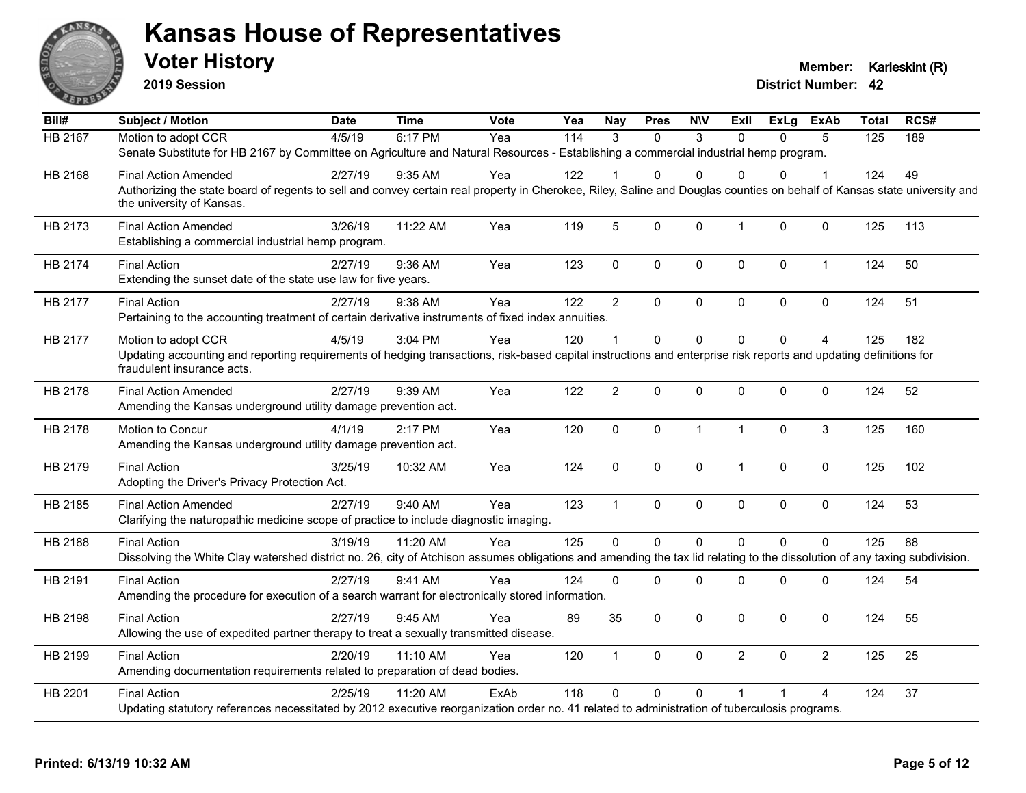

**2019 Session**

| Bill#          | <b>Subject / Motion</b>                                                                                                                                                                               | <b>Date</b> | <b>Time</b> | Vote | Yea              | <b>Nay</b>     | <b>Pres</b> | <b>NIV</b>   | ExII           | ExLg     | <b>ExAb</b>    | <b>Total</b> | RCS# |
|----------------|-------------------------------------------------------------------------------------------------------------------------------------------------------------------------------------------------------|-------------|-------------|------|------------------|----------------|-------------|--------------|----------------|----------|----------------|--------------|------|
| <b>HB 2167</b> | Motion to adopt CCR                                                                                                                                                                                   | 4/5/19      | 6:17 PM     | Yea  | $\overline{114}$ | $\mathcal{R}$  | $\Omega$    | 3            | $\Omega$       | $\Omega$ | 5              | 125          | 189  |
|                | Senate Substitute for HB 2167 by Committee on Agriculture and Natural Resources - Establishing a commercial industrial hemp program.                                                                  |             |             |      |                  |                |             |              |                |          |                |              |      |
| HB 2168        | <b>Final Action Amended</b>                                                                                                                                                                           | 2/27/19     | 9:35 AM     | Yea  | 122              |                | 0           | $\Omega$     | <sup>0</sup>   | 0        | 1              | 124          | 49   |
|                | Authorizing the state board of regents to sell and convey certain real property in Cherokee, Riley, Saline and Douglas counties on behalf of Kansas state university and<br>the university of Kansas. |             |             |      |                  |                |             |              |                |          |                |              |      |
| HB 2173        | <b>Final Action Amended</b><br>Establishing a commercial industrial hemp program.                                                                                                                     | 3/26/19     | 11:22 AM    | Yea  | 119              | 5              | $\mathbf 0$ | $\mathbf{0}$ | $\mathbf{1}$   | 0        | $\mathbf 0$    | 125          | 113  |
| HB 2174        | <b>Final Action</b><br>Extending the sunset date of the state use law for five years.                                                                                                                 | 2/27/19     | 9:36 AM     | Yea  | 123              | $\mathbf 0$    | 0           | $\mathbf 0$  | $\mathbf 0$    | 0        | $\mathbf{1}$   | 124          | 50   |
| HB 2177        | <b>Final Action</b>                                                                                                                                                                                   | 2/27/19     | 9:38 AM     | Yea  | 122              | $\overline{2}$ | $\Omega$    | $\pmb{0}$    | $\pmb{0}$      | 0        | $\mathbf 0$    | 124          | 51   |
|                | Pertaining to the accounting treatment of certain derivative instruments of fixed index annuities.                                                                                                    |             |             |      |                  |                |             |              |                |          |                |              |      |
| HB 2177        | Motion to adopt CCR                                                                                                                                                                                   | 4/5/19      | 3:04 PM     | Yea  | 120              |                | $\Omega$    | $\Omega$     | $\Omega$       | $\Omega$ | $\overline{A}$ | 125          | 182  |
|                | Updating accounting and reporting requirements of hedging transactions, risk-based capital instructions and enterprise risk reports and updating definitions for<br>fraudulent insurance acts.        |             |             |      |                  |                |             |              |                |          |                |              |      |
| HB 2178        | <b>Final Action Amended</b><br>Amending the Kansas underground utility damage prevention act.                                                                                                         | 2/27/19     | 9:39 AM     | Yea  | 122              | $\overline{2}$ | $\Omega$    | $\mathbf{0}$ | $\mathbf{0}$   | 0        | $\mathbf 0$    | 124          | 52   |
| HB 2178        | Motion to Concur                                                                                                                                                                                      | 4/1/19      | 2:17 PM     | Yea  | 120              | $\mathbf 0$    | 0           | $\mathbf{1}$ | $\mathbf{1}$   | $\Omega$ | 3              | 125          | 160  |
|                | Amending the Kansas underground utility damage prevention act.                                                                                                                                        |             |             |      |                  |                |             |              |                |          |                |              |      |
| HB 2179        | <b>Final Action</b>                                                                                                                                                                                   | 3/25/19     | 10:32 AM    | Yea  | 124              | $\mathbf 0$    | 0           | $\pmb{0}$    | $\mathbf{1}$   | 0        | $\mathbf 0$    | 125          | 102  |
|                | Adopting the Driver's Privacy Protection Act.                                                                                                                                                         |             |             |      |                  |                |             |              |                |          |                |              |      |
| HB 2185        | <b>Final Action Amended</b>                                                                                                                                                                           | 2/27/19     | 9:40 AM     | Yea  | 123              | $\mathbf{1}$   | 0           | $\pmb{0}$    | $\mathbf 0$    | 0        | 0              | 124          | 53   |
|                | Clarifying the naturopathic medicine scope of practice to include diagnostic imaging.                                                                                                                 |             |             |      |                  |                |             |              |                |          |                |              |      |
| HB 2188        | <b>Final Action</b>                                                                                                                                                                                   | 3/19/19     | 11:20 AM    | Yea  | 125              | $\Omega$       | 0           | $\mathbf 0$  | $\Omega$       | $\Omega$ | $\mathbf 0$    | 125          | 88   |
|                | Dissolving the White Clay watershed district no. 26, city of Atchison assumes obligations and amending the tax lid relating to the dissolution of any taxing subdivision.                             |             |             |      |                  |                |             |              |                |          |                |              |      |
| HB 2191        | <b>Final Action</b>                                                                                                                                                                                   | 2/27/19     | 9:41 AM     | Yea  | 124              | $\mathbf{0}$   | $\Omega$    | $\Omega$     | $\mathbf{0}$   | 0        | 0              | 124          | 54   |
|                | Amending the procedure for execution of a search warrant for electronically stored information.                                                                                                       |             |             |      |                  |                |             |              |                |          |                |              |      |
| HB 2198        | <b>Final Action</b>                                                                                                                                                                                   | 2/27/19     | 9:45 AM     | Yea  | 89               | 35             | $\Omega$    | $\mathbf{0}$ | $\mathbf{0}$   | 0        | $\mathbf 0$    | 124          | 55   |
|                | Allowing the use of expedited partner therapy to treat a sexually transmitted disease.                                                                                                                |             |             |      |                  |                |             |              |                |          |                |              |      |
| HB 2199        | <b>Final Action</b>                                                                                                                                                                                   | 2/20/19     | 11:10 AM    | Yea  | 120              | $\overline{1}$ | 0           | $\mathbf 0$  | $\overline{2}$ | $\Omega$ | 2              | 125          | 25   |
|                | Amending documentation requirements related to preparation of dead bodies.                                                                                                                            |             |             |      |                  |                |             |              |                |          |                |              |      |
| HB 2201        | <b>Final Action</b>                                                                                                                                                                                   | 2/25/19     | 11:20 AM    | ExAb | 118              | $\Omega$       | $\Omega$    | $\Omega$     | $\overline{1}$ |          | 4              | 124          | 37   |
|                | Updating statutory references necessitated by 2012 executive reorganization order no. 41 related to administration of tuberculosis programs.                                                          |             |             |      |                  |                |             |              |                |          |                |              |      |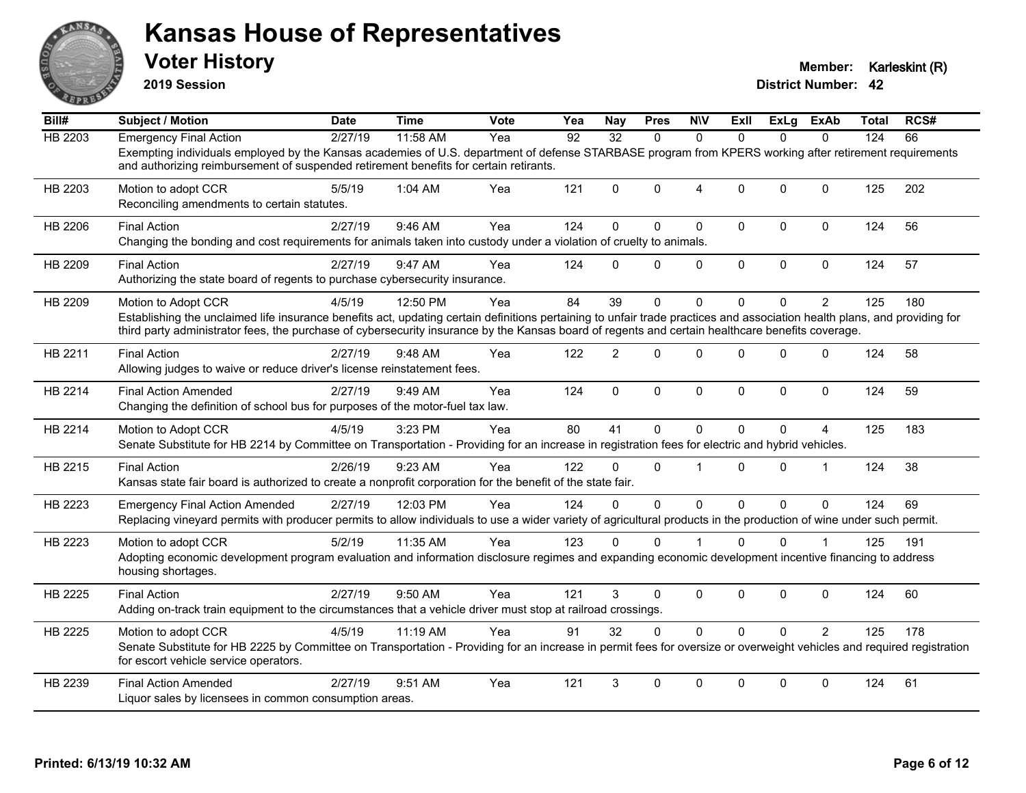

**2019 Session**

| Bill#          | <b>Subject / Motion</b>                                                                                                                                                                                                                                                                                                                              | <b>Date</b> | <b>Time</b> | <b>Vote</b> | Yea | Nav            | <b>Pres</b> | <b>NIV</b>     | ExII         | ExLg         | ExAb           | Total | RCS# |
|----------------|------------------------------------------------------------------------------------------------------------------------------------------------------------------------------------------------------------------------------------------------------------------------------------------------------------------------------------------------------|-------------|-------------|-------------|-----|----------------|-------------|----------------|--------------|--------------|----------------|-------|------|
| <b>HB 2203</b> | <b>Emergency Final Action</b>                                                                                                                                                                                                                                                                                                                        | 2/27/19     | 11:58 AM    | Yea         | 92  | 32             | $\Omega$    | $\Omega$       | $\Omega$     | $\Omega$     | $\Omega$       | 124   | 66   |
|                | Exempting individuals employed by the Kansas academies of U.S. department of defense STARBASE program from KPERS working after retirement requirements<br>and authorizing reimbursement of suspended retirement benefits for certain retirants.                                                                                                      |             |             |             |     |                |             |                |              |              |                |       |      |
| HB 2203        | Motion to adopt CCR<br>Reconciling amendments to certain statutes.                                                                                                                                                                                                                                                                                   | 5/5/19      | 1:04 AM     | Yea         | 121 | $\Omega$       | $\Omega$    | $\overline{4}$ | $\Omega$     | $\Omega$     | $\Omega$       | 125   | 202  |
| HB 2206        | <b>Final Action</b><br>Changing the bonding and cost requirements for animals taken into custody under a violation of cruelty to animals.                                                                                                                                                                                                            | 2/27/19     | 9:46 AM     | Yea         | 124 | $\Omega$       | $\Omega$    | $\mathbf{0}$   | $\Omega$     | $\Omega$     | $\mathbf 0$    | 124   | 56   |
| HB 2209        | <b>Final Action</b><br>Authorizing the state board of regents to purchase cybersecurity insurance.                                                                                                                                                                                                                                                   | 2/27/19     | 9:47 AM     | Yea         | 124 | $\Omega$       | 0           | $\mathbf 0$    | $\mathbf 0$  | 0            | $\pmb{0}$      | 124   | 57   |
| HB 2209        | Motion to Adopt CCR<br>Establishing the unclaimed life insurance benefits act, updating certain definitions pertaining to unfair trade practices and association health plans, and providing for<br>third party administrator fees, the purchase of cybersecurity insurance by the Kansas board of regents and certain healthcare benefits coverage. | 4/5/19      | 12:50 PM    | Yea         | 84  | 39             | $\Omega$    | $\Omega$       | $\Omega$     | $\Omega$     | $\overline{2}$ | 125   | 180  |
| HB 2211        | <b>Final Action</b><br>Allowing judges to waive or reduce driver's license reinstatement fees.                                                                                                                                                                                                                                                       | 2/27/19     | 9:48 AM     | Yea         | 122 | $\overline{2}$ | $\Omega$    | $\mathbf{0}$   | $\Omega$     | $\Omega$     | $\mathbf 0$    | 124   | 58   |
| HB 2214        | <b>Final Action Amended</b><br>Changing the definition of school bus for purposes of the motor-fuel tax law.                                                                                                                                                                                                                                         | 2/27/19     | 9:49 AM     | Yea         | 124 | $\mathbf 0$    | $\mathbf 0$ | $\mathbf 0$    | $\mathbf 0$  | 0            | $\mathbf 0$    | 124   | 59   |
| HB 2214        | Motion to Adopt CCR<br>Senate Substitute for HB 2214 by Committee on Transportation - Providing for an increase in registration fees for electric and hybrid vehicles.                                                                                                                                                                               | 4/5/19      | 3:23 PM     | Yea         | 80  | 41             | $\Omega$    | $\Omega$       | $\mathbf{0}$ | $\Omega$     | $\overline{4}$ | 125   | 183  |
| HB 2215        | <b>Final Action</b><br>Kansas state fair board is authorized to create a nonprofit corporation for the benefit of the state fair.                                                                                                                                                                                                                    | 2/26/19     | 9:23 AM     | Yea         | 122 | $\Omega$       | $\Omega$    | $\overline{1}$ | $\Omega$     | $\Omega$     | $\mathbf 1$    | 124   | 38   |
| HB 2223        | <b>Emergency Final Action Amended</b><br>Replacing vineyard permits with producer permits to allow individuals to use a wider variety of agricultural products in the production of wine under such permit.                                                                                                                                          | 2/27/19     | 12:03 PM    | Yea         | 124 | $\Omega$       | $\Omega$    | $\mathbf{0}$   | $\Omega$     | $\Omega$     | $\mathbf{0}$   | 124   | 69   |
| HB 2223        | Motion to adopt CCR<br>Adopting economic development program evaluation and information disclosure regimes and expanding economic development incentive financing to address<br>housing shortages.                                                                                                                                                   | 5/2/19      | 11:35 AM    | Yea         | 123 | $\Omega$       | $\Omega$    |                | $\Omega$     | $\mathbf{0}$ |                | 125   | 191  |
| HB 2225        | <b>Final Action</b><br>Adding on-track train equipment to the circumstances that a vehicle driver must stop at railroad crossings.                                                                                                                                                                                                                   | 2/27/19     | 9:50 AM     | Yea         | 121 | 3              | $\Omega$    | $\mathbf{0}$   | $\Omega$     | $\Omega$     | $\mathbf 0$    | 124   | 60   |
| HB 2225        | Motion to adopt CCR<br>Senate Substitute for HB 2225 by Committee on Transportation - Providing for an increase in permit fees for oversize or overweight vehicles and required registration<br>for escort vehicle service operators.                                                                                                                | 4/5/19      | 11:19 AM    | Yea         | 91  | 32             | $\Omega$    | $\Omega$       | $\Omega$     | $\Omega$     | 2              | 125   | 178  |
| HB 2239        | <b>Final Action Amended</b><br>Liquor sales by licensees in common consumption areas.                                                                                                                                                                                                                                                                | 2/27/19     | 9:51 AM     | Yea         | 121 | 3              | $\Omega$    | $\mathbf{0}$   | $\Omega$     | $\Omega$     | $\mathbf{0}$   | 124   | 61   |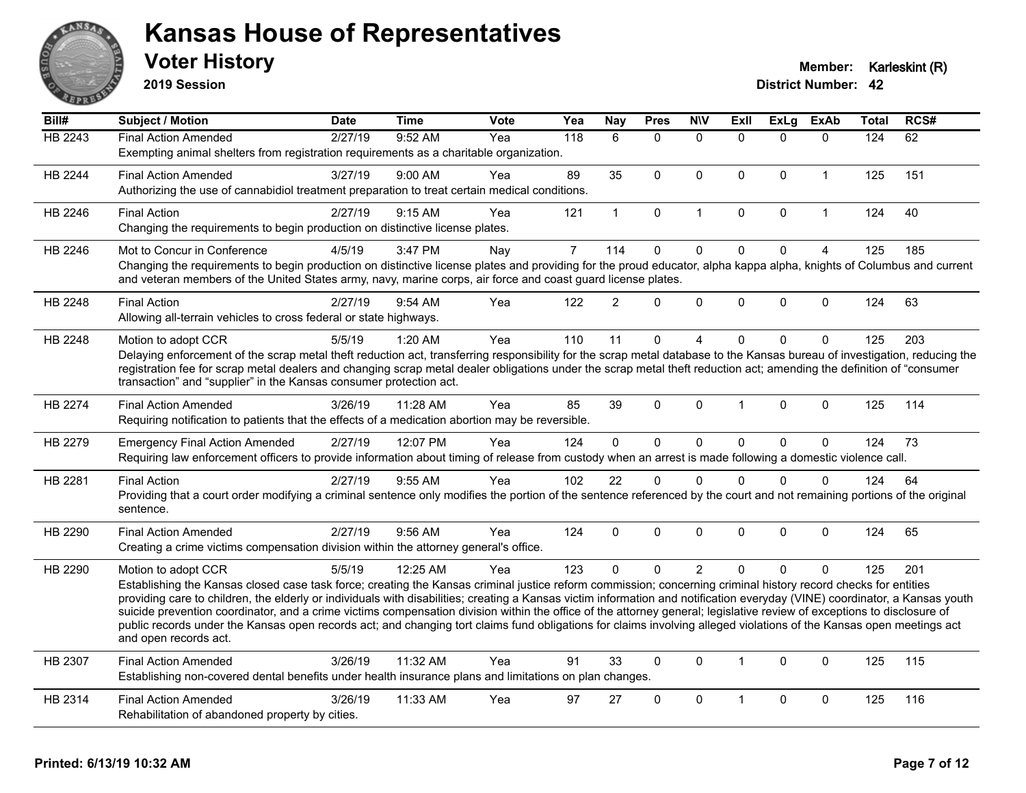

**2019 Session**

| Bill#          | Subject / Motion                                                                                                                                                                             | <b>Date</b> | Time     | <b>Vote</b> | Yea            | <b>Nay</b>   | <b>Pres</b>  | <b>NIV</b>     | <b>ExII</b>  | <b>ExLg</b>  | <b>ExAb</b>    | Total | RCS# |
|----------------|----------------------------------------------------------------------------------------------------------------------------------------------------------------------------------------------|-------------|----------|-------------|----------------|--------------|--------------|----------------|--------------|--------------|----------------|-------|------|
| <b>HB 2243</b> | <b>Final Action Amended</b>                                                                                                                                                                  | 2/27/19     | 9:52 AM  | Yea         | 118            | 6            | $\Omega$     | $\Omega$       | $\Omega$     | $\Omega$     | $\mathbf{0}$   | 124   | 62   |
|                | Exempting animal shelters from registration requirements as a charitable organization.                                                                                                       |             |          |             |                |              |              |                |              |              |                |       |      |
| HB 2244        | <b>Final Action Amended</b>                                                                                                                                                                  | 3/27/19     | 9:00 AM  | Yea         | 89             | 35           | $\mathbf 0$  | $\mathbf 0$    | $\Omega$     | $\mathbf 0$  | $\mathbf{1}$   | 125   | 151  |
|                | Authorizing the use of cannabidiol treatment preparation to treat certain medical conditions.                                                                                                |             |          |             |                |              |              |                |              |              |                |       |      |
| HB 2246        | <b>Final Action</b>                                                                                                                                                                          | 2/27/19     | 9:15 AM  | Yea         | 121            | $\mathbf{1}$ | $\mathbf 0$  | $\mathbf{1}$   | $\Omega$     | $\mathbf 0$  | $\mathbf{1}$   | 124   | 40   |
|                | Changing the requirements to begin production on distinctive license plates.                                                                                                                 |             |          |             |                |              |              |                |              |              |                |       |      |
| HB 2246        | Mot to Concur in Conference                                                                                                                                                                  | 4/5/19      | 3:47 PM  | Nay         | $\overline{7}$ | 114          | $\mathbf 0$  | $\mathbf 0$    | $\mathbf 0$  | $\mathbf 0$  | $\overline{4}$ | 125   | 185  |
|                | Changing the requirements to begin production on distinctive license plates and providing for the proud educator, alpha kappa alpha, knights of Columbus and current                         |             |          |             |                |              |              |                |              |              |                |       |      |
|                | and veteran members of the United States army, navy, marine corps, air force and coast guard license plates.                                                                                 |             |          |             |                |              |              |                |              |              |                |       |      |
| HB 2248        | <b>Final Action</b>                                                                                                                                                                          | 2/27/19     | 9:54 AM  | Yea         | 122            | 2            | $\Omega$     | $\mathbf 0$    | $\Omega$     | $\mathbf{0}$ | $\mathbf 0$    | 124   | 63   |
|                | Allowing all-terrain vehicles to cross federal or state highways.                                                                                                                            |             |          |             |                |              |              |                |              |              |                |       |      |
| HB 2248        | Motion to adopt CCR                                                                                                                                                                          | 5/5/19      | 1:20 AM  | Yea         | 110            | 11           | $\mathbf 0$  | 4              | $\Omega$     | $\mathbf{0}$ | $\Omega$       | 125   | 203  |
|                | Delaying enforcement of the scrap metal theft reduction act, transferring responsibility for the scrap metal database to the Kansas bureau of investigation, reducing the                    |             |          |             |                |              |              |                |              |              |                |       |      |
|                | registration fee for scrap metal dealers and changing scrap metal dealer obligations under the scrap metal theft reduction act; amending the definition of "consumer                         |             |          |             |                |              |              |                |              |              |                |       |      |
|                | transaction" and "supplier" in the Kansas consumer protection act.                                                                                                                           |             |          |             |                |              |              |                |              |              |                |       |      |
| HB 2274        | <b>Final Action Amended</b>                                                                                                                                                                  | 3/26/19     | 11:28 AM | Yea         | 85             | 39           | $\Omega$     | $\mathbf 0$    | $\mathbf 1$  | $\mathbf{0}$ | $\Omega$       | 125   | 114  |
|                | Requiring notification to patients that the effects of a medication abortion may be reversible.                                                                                              |             |          |             |                |              |              |                |              |              |                |       |      |
| HB 2279        | <b>Emergency Final Action Amended</b>                                                                                                                                                        | 2/27/19     | 12:07 PM | Yea         | 124            | $\mathbf 0$  | $\mathbf 0$  | $\mathsf 0$    | $\Omega$     | $\mathbf 0$  | $\mathbf{0}$   | 124   | 73   |
|                | Requiring law enforcement officers to provide information about timing of release from custody when an arrest is made following a domestic violence call.                                    |             |          |             |                |              |              |                |              |              |                |       |      |
| HB 2281        | <b>Final Action</b>                                                                                                                                                                          | 2/27/19     | 9:55 AM  | Yea         | 102            | 22           | $\Omega$     | $\Omega$       | $\Omega$     | $\Omega$     | $\Omega$       | 124   | 64   |
|                | Providing that a court order modifying a criminal sentence only modifies the portion of the sentence referenced by the court and not remaining portions of the original                      |             |          |             |                |              |              |                |              |              |                |       |      |
|                | sentence.                                                                                                                                                                                    |             |          |             |                |              |              |                |              |              |                |       |      |
| HB 2290        | <b>Final Action Amended</b>                                                                                                                                                                  | 2/27/19     | 9:56 AM  | Yea         | 124            | $\Omega$     | $\Omega$     | $\Omega$       | $\Omega$     | $\Omega$     | $\mathbf{0}$   | 124   | 65   |
|                | Creating a crime victims compensation division within the attorney general's office.                                                                                                         |             |          |             |                |              |              |                |              |              |                |       |      |
| HB 2290        | Motion to adopt CCR                                                                                                                                                                          | 5/5/19      | 12:25 AM | Yea         | 123            | $\mathbf{0}$ | $\mathbf{0}$ | $\overline{2}$ | $\Omega$     | $\mathbf{0}$ | $\Omega$       | 125   | 201  |
|                | Establishing the Kansas closed case task force; creating the Kansas criminal justice reform commission; concerning criminal history record checks for entities                               |             |          |             |                |              |              |                |              |              |                |       |      |
|                | providing care to children, the elderly or individuals with disabilities; creating a Kansas victim information and notification everyday (VINE) coordinator, a Kansas youth                  |             |          |             |                |              |              |                |              |              |                |       |      |
|                | suicide prevention coordinator, and a crime victims compensation division within the office of the attorney general; legislative review of exceptions to disclosure of                       |             |          |             |                |              |              |                |              |              |                |       |      |
|                | public records under the Kansas open records act; and changing tort claims fund obligations for claims involving alleged violations of the Kansas open meetings act<br>and open records act. |             |          |             |                |              |              |                |              |              |                |       |      |
|                |                                                                                                                                                                                              |             |          |             |                |              |              |                |              |              |                |       |      |
| HB 2307        | <b>Final Action Amended</b><br>Establishing non-covered dental benefits under health insurance plans and limitations on plan changes.                                                        | 3/26/19     | 11:32 AM | Yea         | 91             | 33           | $\mathbf 0$  | $\mathbf 0$    | $\mathbf{1}$ | $\mathbf{0}$ | $\Omega$       | 125   | 115  |
|                |                                                                                                                                                                                              |             |          |             |                |              |              |                |              |              |                |       |      |
| HB 2314        | <b>Final Action Amended</b>                                                                                                                                                                  | 3/26/19     | 11:33 AM | Yea         | 97             | 27           | $\Omega$     | $\Omega$       | $\mathbf 1$  | $\mathbf{0}$ | $\mathbf{0}$   | 125   | 116  |
|                | Rehabilitation of abandoned property by cities.                                                                                                                                              |             |          |             |                |              |              |                |              |              |                |       |      |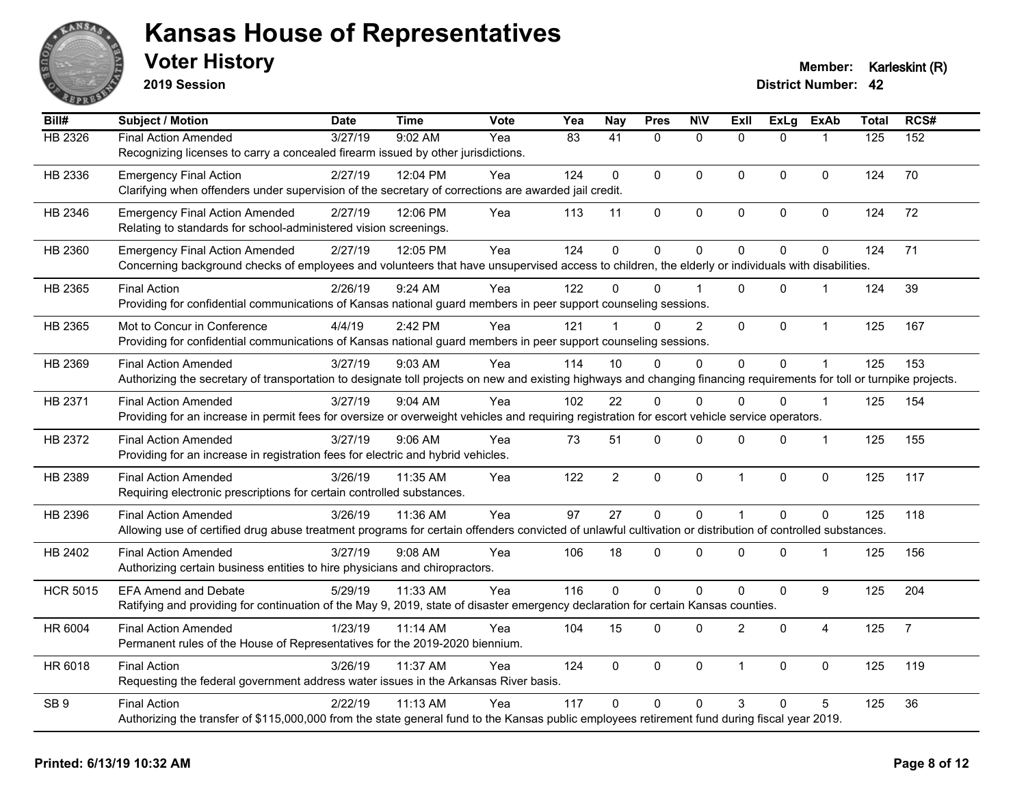

**2019 Session**

| Bill#           | <b>Subject / Motion</b>                                                                                                                                                | <b>Date</b> | <b>Time</b> | Vote | Yea             | <b>Nay</b>      | <b>Pres</b>  | <b>N\V</b>     | Exll           | <b>ExLg</b> | <b>ExAb</b>      | <b>Total</b> | RCS#           |
|-----------------|------------------------------------------------------------------------------------------------------------------------------------------------------------------------|-------------|-------------|------|-----------------|-----------------|--------------|----------------|----------------|-------------|------------------|--------------|----------------|
| HB 2326         | <b>Final Action Amended</b>                                                                                                                                            | 3/27/19     | 9:02 AM     | Yea  | $\overline{83}$ | $\overline{41}$ | $\mathbf{0}$ | $\mathbf{0}$   | $\Omega$       | $\Omega$    | 1                | 125          | 152            |
|                 | Recognizing licenses to carry a concealed firearm issued by other jurisdictions.                                                                                       |             |             |      |                 |                 |              |                |                |             |                  |              |                |
| HB 2336         | <b>Emergency Final Action</b>                                                                                                                                          | 2/27/19     | 12:04 PM    | Yea  | 124             | $\Omega$        | $\mathbf{0}$ | $\mathbf{0}$   | $\Omega$       | $\Omega$    | $\mathbf{0}$     | 124          | 70             |
|                 | Clarifying when offenders under supervision of the secretary of corrections are awarded jail credit.                                                                   |             |             |      |                 |                 |              |                |                |             |                  |              |                |
| HB 2346         | <b>Emergency Final Action Amended</b>                                                                                                                                  | 2/27/19     | 12:06 PM    | Yea  | 113             | 11              | $\pmb{0}$    | 0              | $\pmb{0}$      | 0           | 0                | 124          | 72             |
|                 | Relating to standards for school-administered vision screenings.                                                                                                       |             |             |      |                 |                 |              |                |                |             |                  |              |                |
| HB 2360         | <b>Emergency Final Action Amended</b>                                                                                                                                  | 2/27/19     | 12:05 PM    | Yea  | 124             | $\mathbf{0}$    | $\mathbf 0$  | $\mathbf 0$    | $\Omega$       | $\Omega$    | $\mathbf 0$      | 124          | 71             |
|                 | Concerning background checks of employees and volunteers that have unsupervised access to children, the elderly or individuals with disabilities.                      |             |             |      |                 |                 |              |                |                |             |                  |              |                |
| HB 2365         | <b>Final Action</b>                                                                                                                                                    | 2/26/19     | 9:24 AM     | Yea  | 122             | <sup>n</sup>    | $\Omega$     |                | $\Omega$       | $\Omega$    | 1                | 124          | 39             |
|                 | Providing for confidential communications of Kansas national guard members in peer support counseling sessions.                                                        |             |             |      |                 |                 |              |                |                |             |                  |              |                |
| HB 2365         | Mot to Concur in Conference                                                                                                                                            | 4/4/19      | 2:42 PM     | Yea  | 121             |                 | $\Omega$     | $\overline{2}$ | $\Omega$       | $\Omega$    | $\mathbf{1}$     | 125          | 167            |
|                 | Providing for confidential communications of Kansas national guard members in peer support counseling sessions.                                                        |             |             |      |                 |                 |              |                |                |             |                  |              |                |
| HB 2369         | <b>Final Action Amended</b>                                                                                                                                            | 3/27/19     | 9:03 AM     | Yea  | 114             | 10              | $\mathbf{0}$ | $\mathbf{0}$   | $\Omega$       | $\Omega$    |                  | 125          | 153            |
|                 | Authorizing the secretary of transportation to designate toll projects on new and existing highways and changing financing requirements for toll or turnpike projects. |             |             |      |                 |                 |              |                |                |             |                  |              |                |
| HB 2371         | <b>Final Action Amended</b>                                                                                                                                            | 3/27/19     | 9:04 AM     | Yea  | 102             | 22              | $\mathbf{0}$ | $\mathbf{0}$   | $\Omega$       | $\Omega$    | $\mathbf{1}$     | 125          | 154            |
|                 | Providing for an increase in permit fees for oversize or overweight vehicles and requiring registration for escort vehicle service operators.                          |             |             |      |                 |                 |              |                |                |             |                  |              |                |
| HB 2372         | <b>Final Action Amended</b>                                                                                                                                            | 3/27/19     | $9:06$ AM   | Yea  | 73              | 51              | $\mathbf 0$  | $\mathbf 0$    | $\Omega$       | 0           | $\mathbf{1}$     | 125          | 155            |
|                 | Providing for an increase in registration fees for electric and hybrid vehicles.                                                                                       |             |             |      |                 |                 |              |                |                |             |                  |              |                |
| HB 2389         | <b>Final Action Amended</b>                                                                                                                                            | 3/26/19     | 11:35 AM    | Yea  | 122             | $\overline{2}$  | $\pmb{0}$    | $\pmb{0}$      | $\mathbf 1$    | $\mathbf 0$ | $\pmb{0}$        | 125          | 117            |
|                 | Requiring electronic prescriptions for certain controlled substances.                                                                                                  |             |             |      |                 |                 |              |                |                |             |                  |              |                |
| HB 2396         | <b>Final Action Amended</b>                                                                                                                                            | 3/26/19     | 11:36 AM    | Yea  | 97              | 27              | $\mathbf 0$  | $\mathbf 0$    | $\mathbf 1$    | $\Omega$    | $\mathbf 0$      | 125          | 118            |
|                 | Allowing use of certified drug abuse treatment programs for certain offenders convicted of unlawful cultivation or distribution of controlled substances.              |             |             |      |                 |                 |              |                |                |             |                  |              |                |
| HB 2402         | <b>Final Action Amended</b>                                                                                                                                            | 3/27/19     | $9:08$ AM   | Yea  | 106             | 18              | $\Omega$     | $\mathbf{0}$   | $\Omega$       | $\Omega$    | 1                | 125          | 156            |
|                 | Authorizing certain business entities to hire physicians and chiropractors.                                                                                            |             |             |      |                 |                 |              |                |                |             |                  |              |                |
| <b>HCR 5015</b> | <b>EFA Amend and Debate</b>                                                                                                                                            | 5/29/19     | 11:33 AM    | Yea  | 116             | $\Omega$        | $\mathbf 0$  | $\mathbf 0$    | $\Omega$       | 0           | $\boldsymbol{9}$ | 125          | 204            |
|                 | Ratifying and providing for continuation of the May 9, 2019, state of disaster emergency declaration for certain Kansas counties.                                      |             |             |      |                 |                 |              |                |                |             |                  |              |                |
| HR 6004         | <b>Final Action Amended</b>                                                                                                                                            | 1/23/19     | 11:14 AM    | Yea  | 104             | 15              | $\mathbf 0$  | $\mathbf 0$    | $\overline{2}$ | $\Omega$    | $\overline{4}$   | 125          | $\overline{7}$ |
|                 | Permanent rules of the House of Representatives for the 2019-2020 biennium.                                                                                            |             |             |      |                 |                 |              |                |                |             |                  |              |                |
| HR 6018         | <b>Final Action</b>                                                                                                                                                    | 3/26/19     | 11:37 AM    | Yea  | 124             | $\mathbf 0$     | $\mathbf 0$  | $\pmb{0}$      | $\mathbf 1$    | $\mathbf 0$ | $\mathbf 0$      | 125          | 119            |
|                 | Requesting the federal government address water issues in the Arkansas River basis.                                                                                    |             |             |      |                 |                 |              |                |                |             |                  |              |                |
| SB <sub>9</sub> | <b>Final Action</b>                                                                                                                                                    | 2/22/19     | 11:13 AM    | Yea  | 117             | $\Omega$        | $\mathbf{0}$ | $\mathbf{0}$   | 3              | $\Omega$    | 5                | 125          | 36             |
|                 | Authorizing the transfer of \$115,000,000 from the state general fund to the Kansas public employees retirement fund during fiscal year 2019.                          |             |             |      |                 |                 |              |                |                |             |                  |              |                |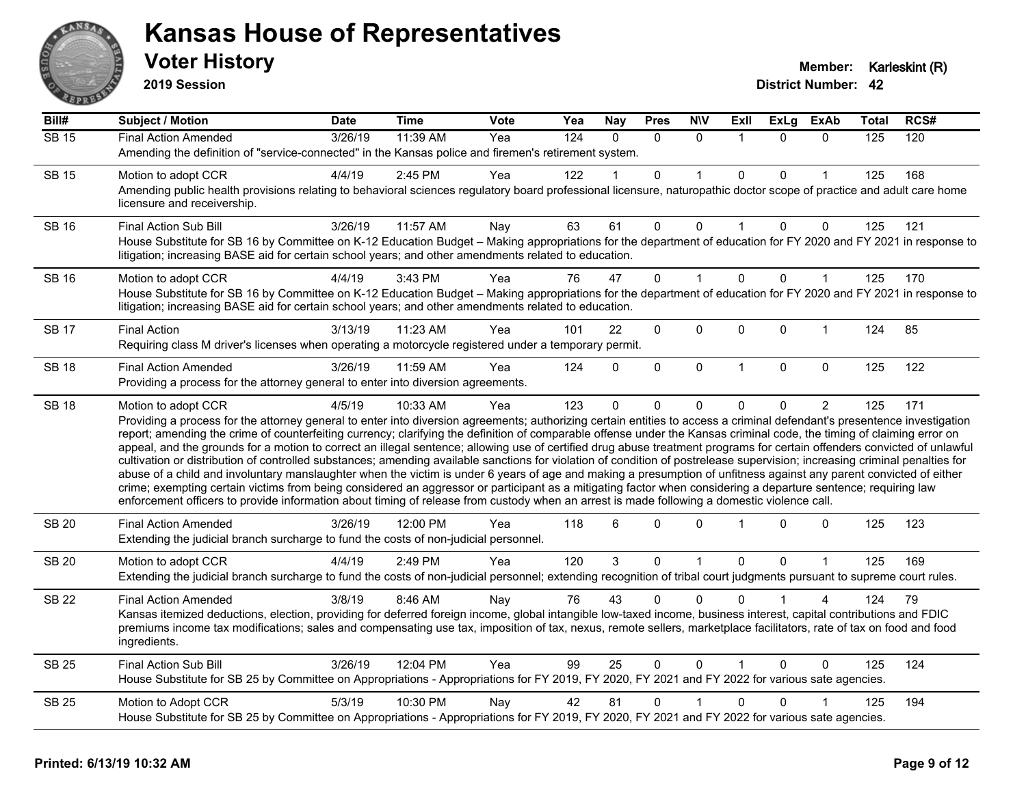

**2019 Session**

| Bill#              | <b>Subject / Motion</b>                                                                                                                                                                                                                                                                                                                                                                                                                                                                                                                                                                                                                                                                                                                                                                                                                                                                                                                                                                                                                                                                                                                                                                              | <b>Date</b> | <b>Time</b> | Vote | Yea | <b>Nay</b> | <b>Pres</b>    | <b>N\V</b>     | ExII         | <b>ExLg</b>  | <b>ExAb</b> | Total | RCS# |
|--------------------|------------------------------------------------------------------------------------------------------------------------------------------------------------------------------------------------------------------------------------------------------------------------------------------------------------------------------------------------------------------------------------------------------------------------------------------------------------------------------------------------------------------------------------------------------------------------------------------------------------------------------------------------------------------------------------------------------------------------------------------------------------------------------------------------------------------------------------------------------------------------------------------------------------------------------------------------------------------------------------------------------------------------------------------------------------------------------------------------------------------------------------------------------------------------------------------------------|-------------|-------------|------|-----|------------|----------------|----------------|--------------|--------------|-------------|-------|------|
| $\overline{SB}$ 15 | <b>Final Action Amended</b>                                                                                                                                                                                                                                                                                                                                                                                                                                                                                                                                                                                                                                                                                                                                                                                                                                                                                                                                                                                                                                                                                                                                                                          | 3/26/19     | 11:39 AM    | Yea  | 124 | $\Omega$   | $\Omega$       | $\mathbf{0}$   |              | $\Omega$     | $\Omega$    | 125   | 120  |
|                    | Amending the definition of "service-connected" in the Kansas police and firemen's retirement system.                                                                                                                                                                                                                                                                                                                                                                                                                                                                                                                                                                                                                                                                                                                                                                                                                                                                                                                                                                                                                                                                                                 |             |             |      |     |            |                |                |              |              |             |       |      |
| <b>SB 15</b>       | Motion to adopt CCR                                                                                                                                                                                                                                                                                                                                                                                                                                                                                                                                                                                                                                                                                                                                                                                                                                                                                                                                                                                                                                                                                                                                                                                  | 4/4/19      | 2:45 PM     | Yea  | 122 |            | 0              |                | $\Omega$     | 0            |             | 125   | 168  |
|                    | Amending public health provisions relating to behavioral sciences regulatory board professional licensure, naturopathic doctor scope of practice and adult care home<br>licensure and receivership.                                                                                                                                                                                                                                                                                                                                                                                                                                                                                                                                                                                                                                                                                                                                                                                                                                                                                                                                                                                                  |             |             |      |     |            |                |                |              |              |             |       |      |
| <b>SB 16</b>       | <b>Final Action Sub Bill</b>                                                                                                                                                                                                                                                                                                                                                                                                                                                                                                                                                                                                                                                                                                                                                                                                                                                                                                                                                                                                                                                                                                                                                                         | 3/26/19     | 11:57 AM    | Nay  | 63  | 61         | $\Omega$       | $\Omega$       |              | $\Omega$     | 0           | 125   | 121  |
|                    | House Substitute for SB 16 by Committee on K-12 Education Budget - Making appropriations for the department of education for FY 2020 and FY 2021 in response to<br>litigation; increasing BASE aid for certain school years; and other amendments related to education.                                                                                                                                                                                                                                                                                                                                                                                                                                                                                                                                                                                                                                                                                                                                                                                                                                                                                                                              |             |             |      |     |            |                |                |              |              |             |       |      |
| <b>SB 16</b>       | Motion to adopt CCR                                                                                                                                                                                                                                                                                                                                                                                                                                                                                                                                                                                                                                                                                                                                                                                                                                                                                                                                                                                                                                                                                                                                                                                  | 4/4/19      | 3:43 PM     | Yea  | 76  | 47         | $\overline{0}$ |                | $\mathbf{0}$ | $\Omega$     | 1           | 125   | 170  |
|                    | House Substitute for SB 16 by Committee on K-12 Education Budget - Making appropriations for the department of education for FY 2020 and FY 2021 in response to<br>litigation; increasing BASE aid for certain school years; and other amendments related to education.                                                                                                                                                                                                                                                                                                                                                                                                                                                                                                                                                                                                                                                                                                                                                                                                                                                                                                                              |             |             |      |     |            |                |                |              |              |             |       |      |
| <b>SB 17</b>       | <b>Final Action</b>                                                                                                                                                                                                                                                                                                                                                                                                                                                                                                                                                                                                                                                                                                                                                                                                                                                                                                                                                                                                                                                                                                                                                                                  | 3/13/19     | 11:23 AM    | Yea  | 101 | 22         | 0              | 0              | 0            | 0            | $\mathbf 1$ | 124   | 85   |
|                    | Requiring class M driver's licenses when operating a motorcycle registered under a temporary permit.                                                                                                                                                                                                                                                                                                                                                                                                                                                                                                                                                                                                                                                                                                                                                                                                                                                                                                                                                                                                                                                                                                 |             |             |      |     |            |                |                |              |              |             |       |      |
| <b>SB 18</b>       | <b>Final Action Amended</b>                                                                                                                                                                                                                                                                                                                                                                                                                                                                                                                                                                                                                                                                                                                                                                                                                                                                                                                                                                                                                                                                                                                                                                          | 3/26/19     | 11:59 AM    | Yea  | 124 | $\Omega$   | 0              | 0              | $\mathbf{1}$ | $\mathbf{0}$ | 0           | 125   | 122  |
|                    | Providing a process for the attorney general to enter into diversion agreements.                                                                                                                                                                                                                                                                                                                                                                                                                                                                                                                                                                                                                                                                                                                                                                                                                                                                                                                                                                                                                                                                                                                     |             |             |      |     |            |                |                |              |              |             |       |      |
| <b>SB 18</b>       | Motion to adopt CCR                                                                                                                                                                                                                                                                                                                                                                                                                                                                                                                                                                                                                                                                                                                                                                                                                                                                                                                                                                                                                                                                                                                                                                                  | 4/5/19      | 10:33 AM    | Yea  | 123 | $\Omega$   | 0              | $\Omega$       | $\Omega$     | 0            | 2           | 125   | 171  |
|                    | Providing a process for the attorney general to enter into diversion agreements; authorizing certain entities to access a criminal defendant's presentence investigation<br>report; amending the crime of counterfeiting currency; clarifying the definition of comparable offense under the Kansas criminal code, the timing of claiming error on<br>appeal, and the grounds for a motion to correct an illegal sentence; allowing use of certified drug abuse treatment programs for certain offenders convicted of unlawful<br>cultivation or distribution of controlled substances; amending available sanctions for violation of condition of postrelease supervision; increasing criminal penalties for<br>abuse of a child and involuntary manslaughter when the victim is under 6 years of age and making a presumption of unfitness against any parent convicted of either<br>crime; exempting certain victims from being considered an aggressor or participant as a mitigating factor when considering a departure sentence; requiring law<br>enforcement officers to provide information about timing of release from custody when an arrest is made following a domestic violence call. |             |             |      |     |            |                |                |              |              |             |       |      |
| <b>SB 20</b>       | <b>Final Action Amended</b><br>Extending the judicial branch surcharge to fund the costs of non-judicial personnel.                                                                                                                                                                                                                                                                                                                                                                                                                                                                                                                                                                                                                                                                                                                                                                                                                                                                                                                                                                                                                                                                                  | 3/26/19     | 12:00 PM    | Yea  | 118 | 6          | $\Omega$       | $\Omega$       |              | $\Omega$     | $\Omega$    | 125   | 123  |
| <b>SB 20</b>       | Motion to adopt CCR                                                                                                                                                                                                                                                                                                                                                                                                                                                                                                                                                                                                                                                                                                                                                                                                                                                                                                                                                                                                                                                                                                                                                                                  | 4/4/19      | 2:49 PM     | Yea  | 120 | 3          | 0              | $\overline{1}$ | $\mathbf 0$  | $\Omega$     | 1           | 125   | 169  |
|                    | Extending the judicial branch surcharge to fund the costs of non-judicial personnel; extending recognition of tribal court judgments pursuant to supreme court rules.                                                                                                                                                                                                                                                                                                                                                                                                                                                                                                                                                                                                                                                                                                                                                                                                                                                                                                                                                                                                                                |             |             |      |     |            |                |                |              |              |             |       |      |
| <b>SB 22</b>       | <b>Final Action Amended</b>                                                                                                                                                                                                                                                                                                                                                                                                                                                                                                                                                                                                                                                                                                                                                                                                                                                                                                                                                                                                                                                                                                                                                                          | 3/8/19      | 8:46 AM     | Nay  | 76  | 43         | $\Omega$       | $\Omega$       | $\Omega$     |              | 4           | 124   | 79   |
|                    | Kansas itemized deductions, election, providing for deferred foreign income, global intangible low-taxed income, business interest, capital contributions and FDIC<br>premiums income tax modifications; sales and compensating use tax, imposition of tax, nexus, remote sellers, marketplace facilitators, rate of tax on food and food<br>ingredients.                                                                                                                                                                                                                                                                                                                                                                                                                                                                                                                                                                                                                                                                                                                                                                                                                                            |             |             |      |     |            |                |                |              |              |             |       |      |
| <b>SB 25</b>       | <b>Final Action Sub Bill</b>                                                                                                                                                                                                                                                                                                                                                                                                                                                                                                                                                                                                                                                                                                                                                                                                                                                                                                                                                                                                                                                                                                                                                                         | 3/26/19     | 12:04 PM    | Yea  | 99  | 25         | $\Omega$       | $\Omega$       |              | $\Omega$     | $\Omega$    | 125   | 124  |
|                    | House Substitute for SB 25 by Committee on Appropriations - Appropriations for FY 2019, FY 2020, FY 2021 and FY 2022 for various sate agencies.                                                                                                                                                                                                                                                                                                                                                                                                                                                                                                                                                                                                                                                                                                                                                                                                                                                                                                                                                                                                                                                      |             |             |      |     |            |                |                |              |              |             |       |      |
| <b>SB 25</b>       | Motion to Adopt CCR                                                                                                                                                                                                                                                                                                                                                                                                                                                                                                                                                                                                                                                                                                                                                                                                                                                                                                                                                                                                                                                                                                                                                                                  | 5/3/19      | 10:30 PM    | Nay  | 42  | 81         | 0              |                | 0            | 0            |             | 125   | 194  |
|                    | House Substitute for SB 25 by Committee on Appropriations - Appropriations for FY 2019, FY 2020, FY 2021 and FY 2022 for various sate agencies.                                                                                                                                                                                                                                                                                                                                                                                                                                                                                                                                                                                                                                                                                                                                                                                                                                                                                                                                                                                                                                                      |             |             |      |     |            |                |                |              |              |             |       |      |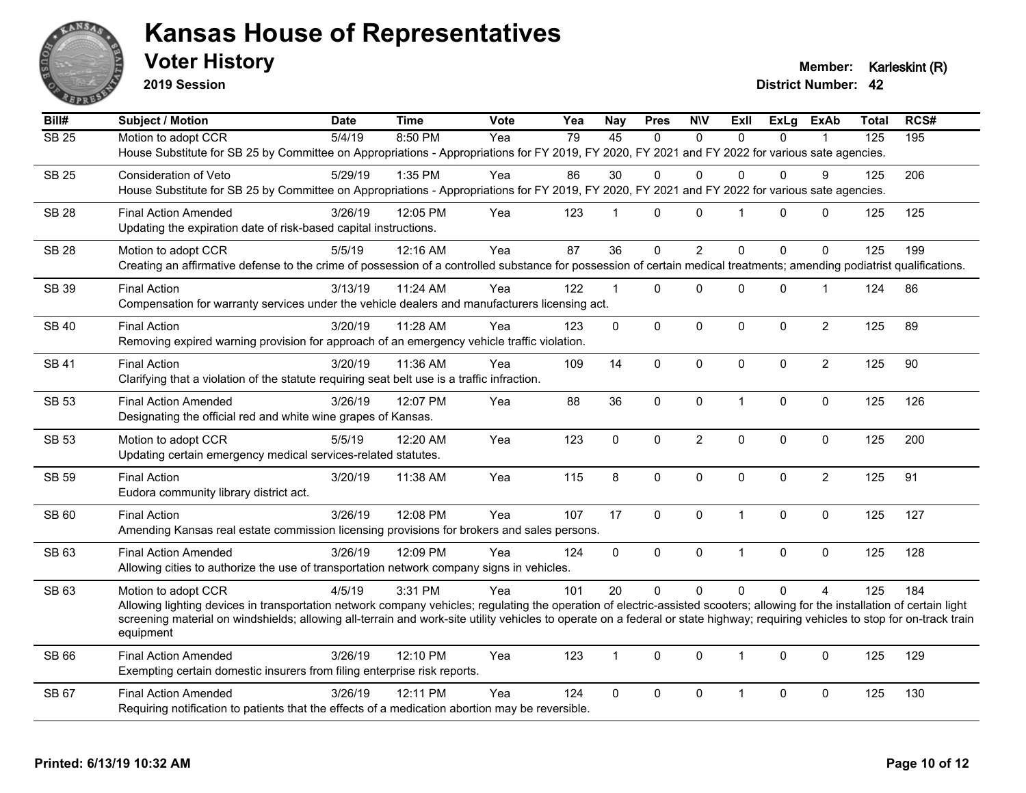

**2019 Session**

**Voter History Member: Karleskint (R)** 

| Bill#        | <b>Subject / Motion</b>                                                                                                                                                                     | <b>Date</b> | <b>Time</b> | Vote | Yea | <b>Nay</b>     | <b>Pres</b> | <b>NIV</b>     | <b>ExII</b>    | <b>ExLg</b>  | <b>ExAb</b>    | <b>Total</b> | RCS# |
|--------------|---------------------------------------------------------------------------------------------------------------------------------------------------------------------------------------------|-------------|-------------|------|-----|----------------|-------------|----------------|----------------|--------------|----------------|--------------|------|
| <b>SB 25</b> | Motion to adopt CCR                                                                                                                                                                         | 5/4/19      | 8:50 PM     | Yea  | 79  | 45             | $\Omega$    | $\Omega$       | $\Omega$       | $\Omega$     |                | 125          | 195  |
|              | House Substitute for SB 25 by Committee on Appropriations - Appropriations for FY 2019, FY 2020, FY 2021 and FY 2022 for various sate agencies.                                             |             |             |      |     |                |             |                |                |              |                |              |      |
| <b>SB 25</b> | Consideration of Veto                                                                                                                                                                       | 5/29/19     | 1:35 PM     | Yea  | 86  | 30             | $\Omega$    | $\Omega$       | $\Omega$       | 0            | 9              | 125          | 206  |
|              | House Substitute for SB 25 by Committee on Appropriations - Appropriations for FY 2019, FY 2020, FY 2021 and FY 2022 for various sate agencies.                                             |             |             |      |     |                |             |                |                |              |                |              |      |
| <b>SB 28</b> | <b>Final Action Amended</b>                                                                                                                                                                 | 3/26/19     | 12:05 PM    | Yea  | 123 | $\overline{1}$ | $\Omega$    | $\Omega$       | $\overline{1}$ | $\Omega$     | 0              | 125          | 125  |
|              | Updating the expiration date of risk-based capital instructions.                                                                                                                            |             |             |      |     |                |             |                |                |              |                |              |      |
| <b>SB 28</b> | Motion to adopt CCR                                                                                                                                                                         | 5/5/19      | 12:16 AM    | Yea  | 87  | 36             | 0           | $\overline{2}$ | $\Omega$       | $\Omega$     | $\Omega$       | 125          | 199  |
|              | Creating an affirmative defense to the crime of possession of a controlled substance for possession of certain medical treatments; amending podiatrist qualifications.                      |             |             |      |     |                |             |                |                |              |                |              |      |
| SB 39        | <b>Final Action</b>                                                                                                                                                                         | 3/13/19     | 11:24 AM    | Yea  | 122 | $\mathbf{1}$   | $\Omega$    | $\Omega$       | $\Omega$       | 0            | $\mathbf{1}$   | 124          | 86   |
|              | Compensation for warranty services under the vehicle dealers and manufacturers licensing act.                                                                                               |             |             |      |     |                |             |                |                |              |                |              |      |
| <b>SB 40</b> | <b>Final Action</b>                                                                                                                                                                         | 3/20/19     | 11:28 AM    | Yea  | 123 | $\Omega$       | $\Omega$    | $\mathbf{0}$   | $\mathbf{0}$   | $\mathbf{0}$ | $\overline{c}$ | 125          | 89   |
|              | Removing expired warning provision for approach of an emergency vehicle traffic violation.                                                                                                  |             |             |      |     |                |             |                |                |              |                |              |      |
| <b>SB 41</b> | <b>Final Action</b>                                                                                                                                                                         | 3/20/19     | 11:36 AM    | Yea  | 109 | 14             | $\Omega$    | $\mathbf 0$    | $\mathbf{0}$   | $\mathbf{0}$ | $\overline{2}$ | 125          | 90   |
|              | Clarifying that a violation of the statute requiring seat belt use is a traffic infraction.                                                                                                 |             |             |      |     |                |             |                |                |              |                |              |      |
| SB 53        | <b>Final Action Amended</b>                                                                                                                                                                 | 3/26/19     | 12:07 PM    | Yea  | 88  | 36             | $\mathbf 0$ | $\pmb{0}$      | $\overline{1}$ | 0            | $\mathbf 0$    | 125          | 126  |
|              | Designating the official red and white wine grapes of Kansas.                                                                                                                               |             |             |      |     |                |             |                |                |              |                |              |      |
| <b>SB 53</b> | Motion to adopt CCR                                                                                                                                                                         | 5/5/19      | 12:20 AM    | Yea  | 123 | $\Omega$       | 0           | $\overline{2}$ | $\mathbf 0$    | 0            | $\mathbf 0$    | 125          | 200  |
|              | Updating certain emergency medical services-related statutes.                                                                                                                               |             |             |      |     |                |             |                |                |              |                |              |      |
| <b>SB 59</b> | <b>Final Action</b>                                                                                                                                                                         | 3/20/19     | 11:38 AM    | Yea  | 115 | 8              | $\Omega$    | $\mathbf 0$    | $\mathbf{0}$   | $\mathbf{0}$ | $\overline{2}$ | 125          | 91   |
|              | Eudora community library district act.                                                                                                                                                      |             |             |      |     |                |             |                |                |              |                |              |      |
| SB 60        | <b>Final Action</b>                                                                                                                                                                         | 3/26/19     | 12:08 PM    | Yea  | 107 | 17             | 0           | $\pmb{0}$      | $\overline{1}$ | 0            | $\mathbf 0$    | 125          | 127  |
|              | Amending Kansas real estate commission licensing provisions for brokers and sales persons.                                                                                                  |             |             |      |     |                |             |                |                |              |                |              |      |
| SB 63        | <b>Final Action Amended</b>                                                                                                                                                                 | 3/26/19     | 12:09 PM    | Yea  | 124 | $\mathbf 0$    | 0           | $\pmb{0}$      | $\overline{1}$ | 0            | $\mathbf 0$    | 125          | 128  |
|              | Allowing cities to authorize the use of transportation network company signs in vehicles.                                                                                                   |             |             |      |     |                |             |                |                |              |                |              |      |
| SB 63        | Motion to adopt CCR                                                                                                                                                                         | 4/5/19      | 3:31 PM     | Yea  | 101 | 20             | $\Omega$    | $\Omega$       | $\Omega$       | $\Omega$     | $\overline{A}$ | 125          | 184  |
|              | Allowing lighting devices in transportation network company vehicles; regulating the operation of electric-assisted scooters; allowing for the installation of certain light                |             |             |      |     |                |             |                |                |              |                |              |      |
|              | screening material on windshields; allowing all-terrain and work-site utility vehicles to operate on a federal or state highway; requiring vehicles to stop for on-track train<br>equipment |             |             |      |     |                |             |                |                |              |                |              |      |
| SB 66        | <b>Final Action Amended</b>                                                                                                                                                                 | 3/26/19     | 12:10 PM    | Yea  | 123 | $\mathbf{1}$   | $\mathbf 0$ | $\mathbf 0$    | $\overline{1}$ | $\Omega$     | $\mathbf{0}$   | 125          | 129  |
|              | Exempting certain domestic insurers from filing enterprise risk reports.                                                                                                                    |             |             |      |     |                |             |                |                |              |                |              |      |
| SB 67        | <b>Final Action Amended</b>                                                                                                                                                                 | 3/26/19     | 12:11 PM    | Yea  | 124 | $\Omega$       | $\Omega$    | $\Omega$       | $\mathbf{1}$   | 0            | 0              | 125          | 130  |
|              | Requiring notification to patients that the effects of a medication abortion may be reversible.                                                                                             |             |             |      |     |                |             |                |                |              |                |              |      |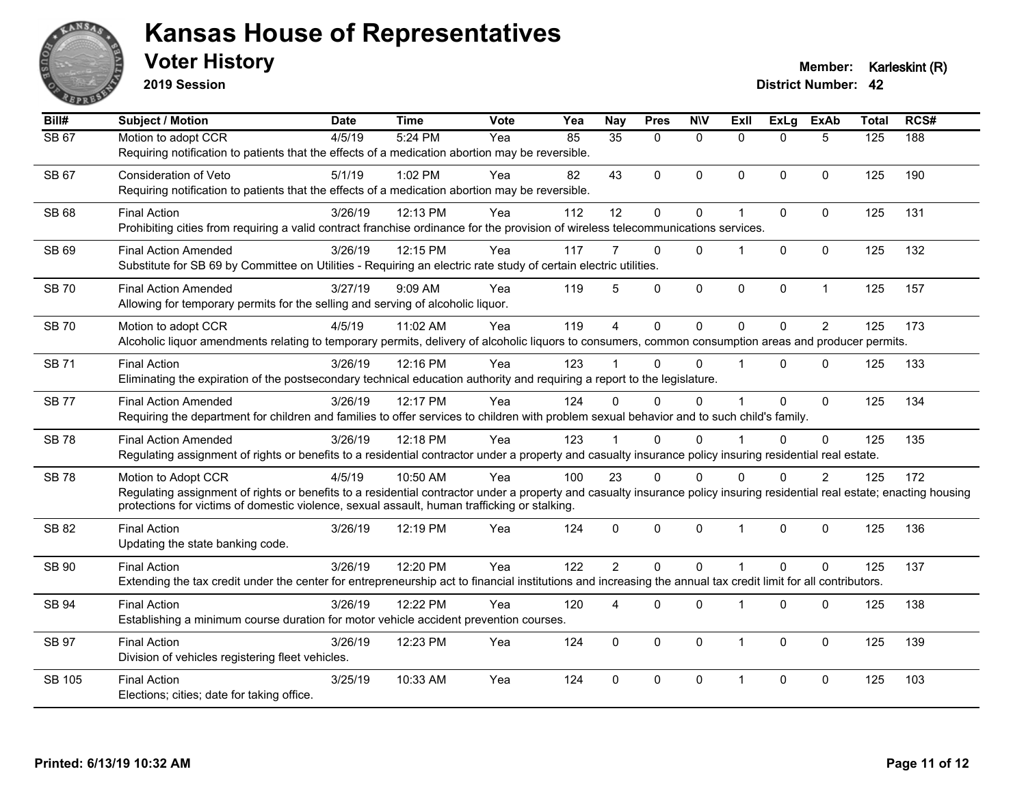

**2019 Session**

| Bill#        | <b>Subject / Motion</b>                                                                                                                                                                                                                                                                          | <b>Date</b> | <b>Time</b> | <b>Vote</b> | Yea | <b>Nay</b>      | <b>Pres</b> | <b>NIV</b>   | ExIl                 | ExLg     | <b>ExAb</b>    | <b>Total</b> | RCS# |
|--------------|--------------------------------------------------------------------------------------------------------------------------------------------------------------------------------------------------------------------------------------------------------------------------------------------------|-------------|-------------|-------------|-----|-----------------|-------------|--------------|----------------------|----------|----------------|--------------|------|
| SB 67        | Motion to adopt CCR<br>Requiring notification to patients that the effects of a medication abortion may be reversible.                                                                                                                                                                           | 4/5/19      | 5:24 PM     | Yea         | 85  | $\overline{35}$ | $\Omega$    | $\mathbf{0}$ | $\Omega$             | $\Omega$ | 5              | 125          | 188  |
| SB 67        | <b>Consideration of Veto</b><br>Requiring notification to patients that the effects of a medication abortion may be reversible.                                                                                                                                                                  | 5/1/19      | 1:02 PM     | Yea         | 82  | 43              | $\Omega$    | $\mathbf{0}$ | $\Omega$             | $\Omega$ | $\Omega$       | 125          | 190  |
| <b>SB 68</b> | <b>Final Action</b><br>Prohibiting cities from requiring a valid contract franchise ordinance for the provision of wireless telecommunications services.                                                                                                                                         | 3/26/19     | 12:13 PM    | Yea         | 112 | 12              | 0           | $\mathbf 0$  | 1                    | 0        | $\Omega$       | 125          | 131  |
| <b>SB 69</b> | <b>Final Action Amended</b><br>Substitute for SB 69 by Committee on Utilities - Requiring an electric rate study of certain electric utilities.                                                                                                                                                  | 3/26/19     | 12:15 PM    | Yea         | 117 |                 | $\Omega$    | $\Omega$     | 1                    | $\Omega$ | $\Omega$       | 125          | 132  |
| <b>SB70</b>  | <b>Final Action Amended</b><br>Allowing for temporary permits for the selling and serving of alcoholic liquor.                                                                                                                                                                                   | 3/27/19     | 9:09 AM     | Yea         | 119 | 5               | $\Omega$    | $\mathbf 0$  | 0                    | 0        | $\mathbf{1}$   | 125          | 157  |
| <b>SB70</b>  | Motion to adopt CCR<br>Alcoholic liquor amendments relating to temporary permits, delivery of alcoholic liquors to consumers, common consumption areas and producer permits.                                                                                                                     | 4/5/19      | 11:02 AM    | Yea         | 119 | $\overline{4}$  | $\mathbf 0$ | $\mathbf 0$  | $\Omega$             | $\Omega$ | 2              | 125          | 173  |
| <b>SB71</b>  | <b>Final Action</b><br>Eliminating the expiration of the postsecondary technical education authority and requiring a report to the legislature.                                                                                                                                                  | 3/26/19     | 12:16 PM    | Yea         | 123 |                 | $\Omega$    | $\Omega$     | $\blacktriangleleft$ | $\Omega$ | $\mathbf{0}$   | 125          | 133  |
| <b>SB77</b>  | <b>Final Action Amended</b><br>Requiring the department for children and families to offer services to children with problem sexual behavior and to such child's family.                                                                                                                         | 3/26/19     | 12:17 PM    | Yea         | 124 | $\Omega$        | $\Omega$    | $\mathbf{0}$ | $\blacktriangleleft$ | $\Omega$ | $\mathbf{0}$   | 125          | 134  |
| <b>SB78</b>  | <b>Final Action Amended</b><br>Regulating assignment of rights or benefits to a residential contractor under a property and casualty insurance policy insuring residential real estate.                                                                                                          | 3/26/19     | 12:18 PM    | Yea         | 123 |                 | $\Omega$    | $\Omega$     |                      | $\Omega$ | $\Omega$       | 125          | 135  |
| <b>SB78</b>  | Motion to Adopt CCR<br>Regulating assignment of rights or benefits to a residential contractor under a property and casualty insurance policy insuring residential real estate; enacting housing<br>protections for victims of domestic violence, sexual assault, human trafficking or stalking. | 4/5/19      | 10:50 AM    | Yea         | 100 | 23              | $\Omega$    | $\mathbf{0}$ | $\Omega$             | $\Omega$ | $\overline{2}$ | 125          | 172  |
| SB 82        | <b>Final Action</b><br>Updating the state banking code.                                                                                                                                                                                                                                          | 3/26/19     | 12:19 PM    | Yea         | 124 | $\mathbf{0}$    | $\Omega$    | $\mathbf 0$  | $\mathbf{1}$         | $\Omega$ | $\mathbf 0$    | 125          | 136  |
| SB 90        | <b>Final Action</b><br>Extending the tax credit under the center for entrepreneurship act to financial institutions and increasing the annual tax credit limit for all contributors.                                                                                                             | 3/26/19     | 12:20 PM    | Yea         | 122 | $\overline{2}$  | $\Omega$    | $\Omega$     | $\overline{1}$       | $\Omega$ | $\Omega$       | 125          | 137  |
| SB 94        | <b>Final Action</b><br>Establishing a minimum course duration for motor vehicle accident prevention courses.                                                                                                                                                                                     | 3/26/19     | 12:22 PM    | Yea         | 120 | 4               | $\Omega$    | $\mathbf 0$  | $\overline{1}$       | 0        | $\mathbf 0$    | 125          | 138  |
| SB 97        | <b>Final Action</b><br>Division of vehicles registering fleet vehicles.                                                                                                                                                                                                                          | 3/26/19     | 12:23 PM    | Yea         | 124 | $\Omega$        | $\Omega$    | $\mathbf{0}$ | $\mathbf{1}$         | $\Omega$ | $\Omega$       | 125          | 139  |
| SB 105       | <b>Final Action</b><br>Elections; cities; date for taking office.                                                                                                                                                                                                                                | 3/25/19     | 10:33 AM    | Yea         | 124 | $\Omega$        | $\Omega$    | $\mathbf{0}$ | $\mathbf 1$          | $\Omega$ | $\Omega$       | 125          | 103  |